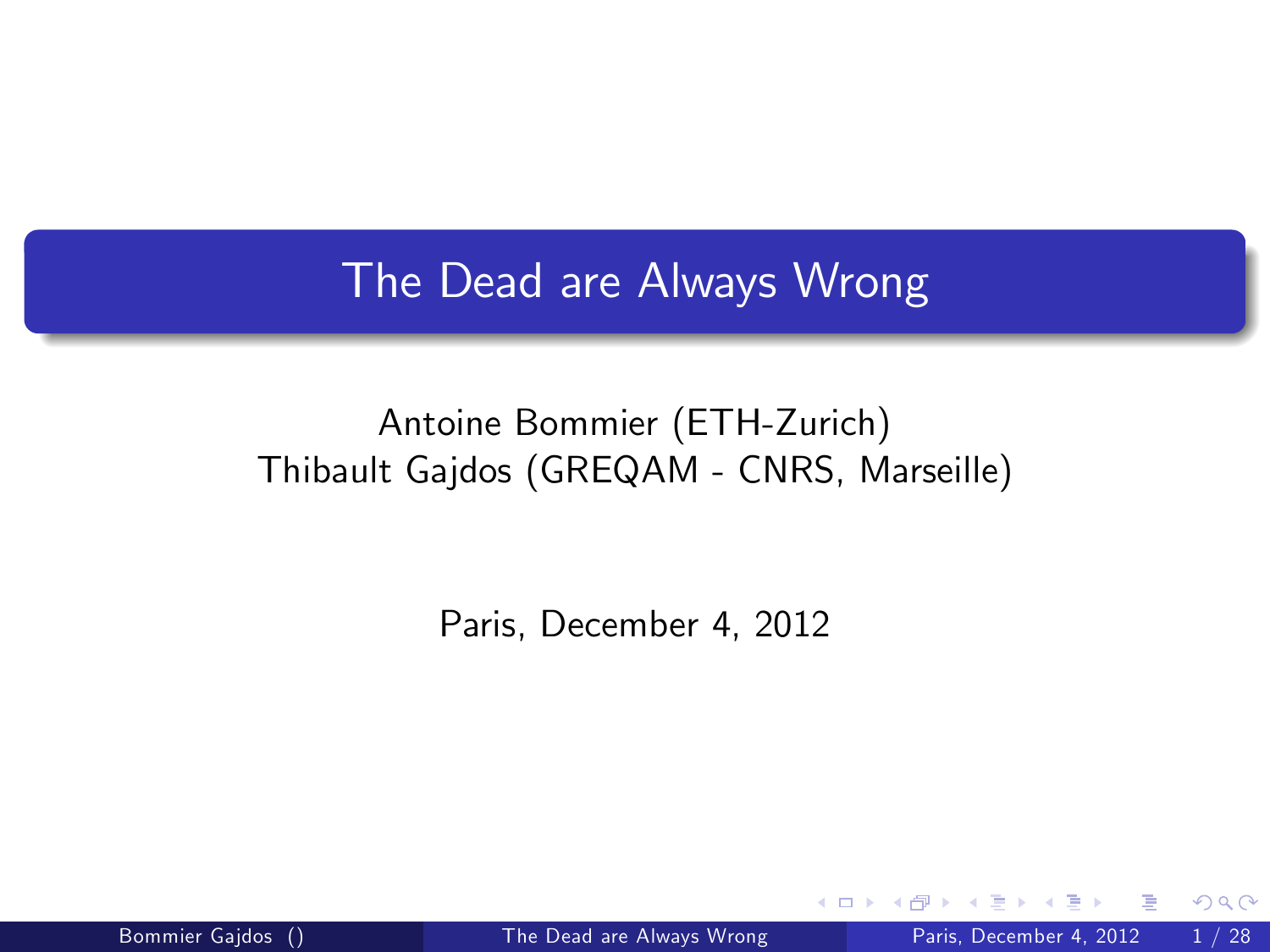### The Dead are Always Wrong

### Antoine Bommier (ETH-Zurich) Thibault Gajdos (GREQAM - CNRS, Marseille)

Paris, December 4, 2012

 $\leftarrow$ 

Bommier Gajdos () [The Dead are Always Wrong](#page-38-0) Paris, December 4, 2012 1/28

<span id="page-0-0"></span> $QQ$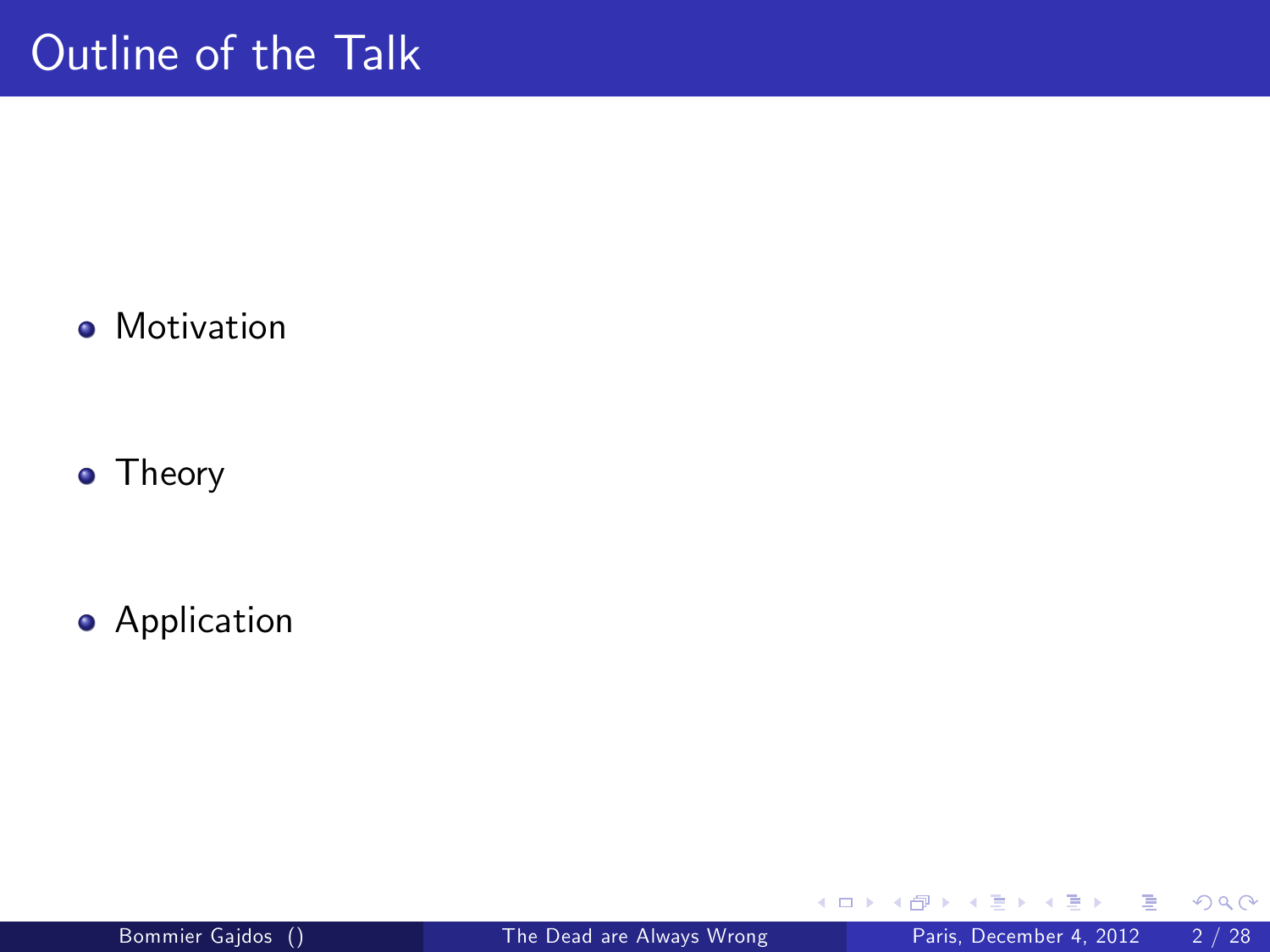**•** Motivation

**•** Theory

**•** Application

 $\sim$ 

**← ロ ▶ → イ 同** 

重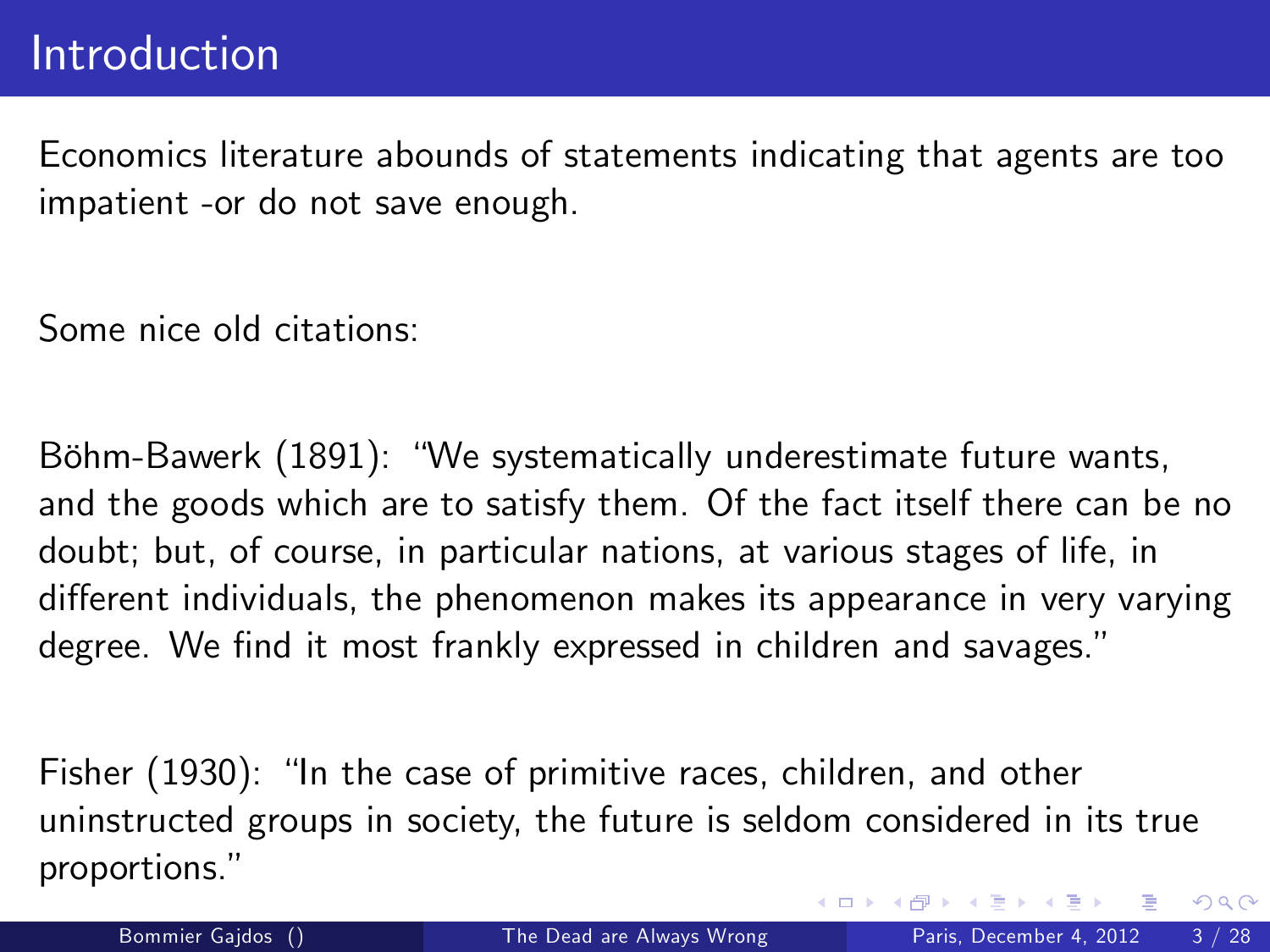Economics literature abounds of statements indicating that agents are too impatient -or do not save enough.

Some nice old citations:

Böhm-Bawerk (1891): "We systematically underestimate future wants, and the goods which are to satisfy them. Of the fact itself there can be no doubt; but, of course, in particular nations, at various stages of life, in different individuals, the phenomenon makes its appearance in very varying degree. We find it most frankly expressed in children and savages."

Fisher (1930): "In the case of primitive races, children, and other uninstructed groups in society, the future is seldom considered in its true proportions."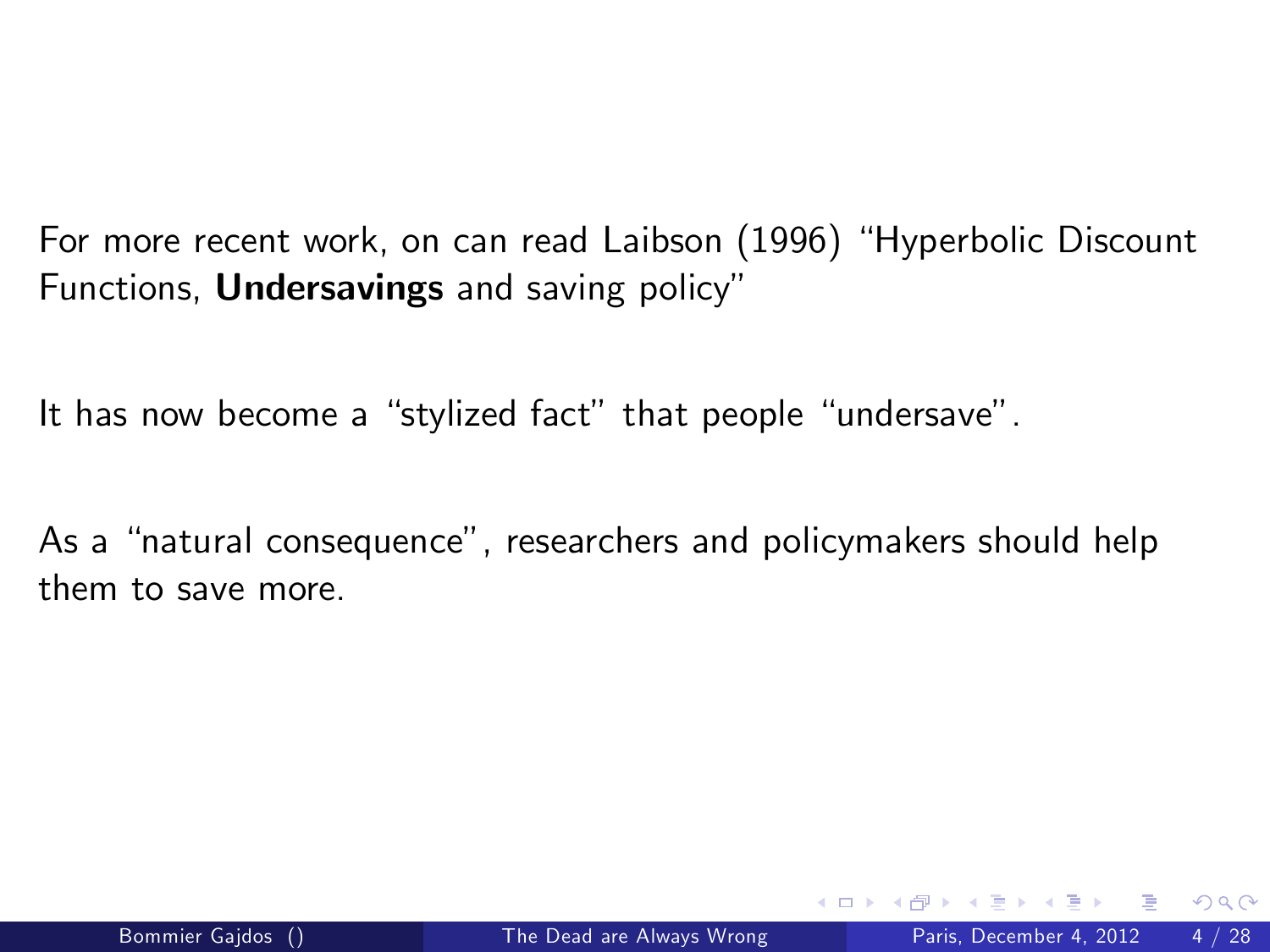For more recent work, on can read Laibson (1996) "Hyperbolic Discount Functions, **Undersavings** and saving policy"

It has now become a "stylized fact" that people "undersave".

As a "natural consequence", researchers and policymakers should help them to save more.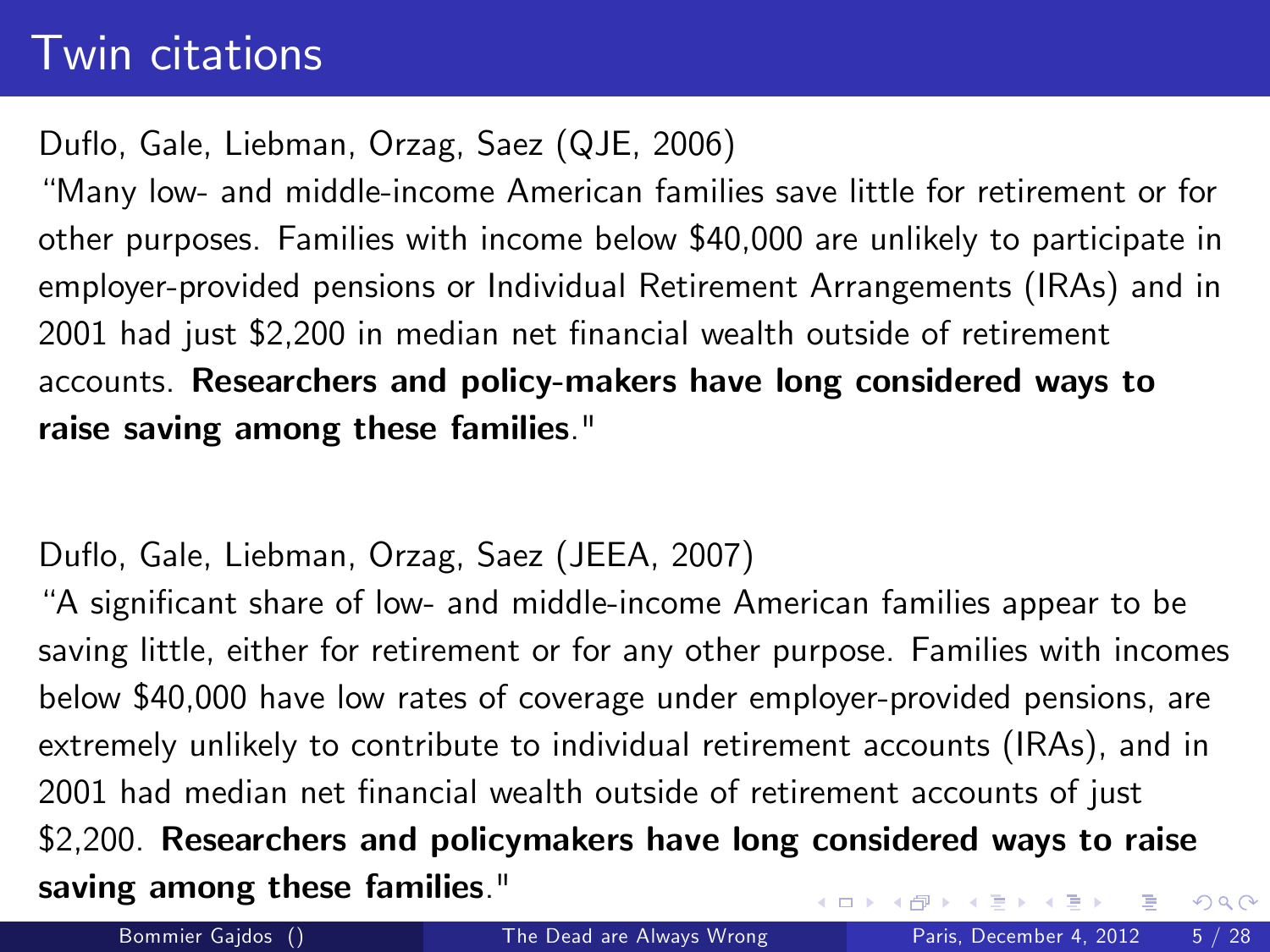# Twin citations

### Duflo, Gale, Liebman, Orzag, Saez (QJE, 2006)

ìMany low- and middle-income American families save little for retirement or for other purposes. Families with income below \$40,000 are unlikely to participate in employer-provided pensions or Individual Retirement Arrangements (IRAs) and in 2001 had just \$2,200 in median net financial wealth outside of retirement accounts. Researchers and policy-makers have long considered ways to raise saving among these families."

#### Duflo, Gale, Liebman, Orzag, Saez (JEEA, 2007)

ìA signiÖcant share of low- and middle-income American families appear to be saving little, either for retirement or for any other purpose. Families with incomes below \$40,000 have low rates of coverage under employer-provided pensions, are extremely unlikely to contribute to individual retirement accounts (IRAs), and in 2001 had median net financial wealth outside of retirement accounts of just \$2,200. Researchers and policymakers have long considered ways to raise saving among these families."  $QQ$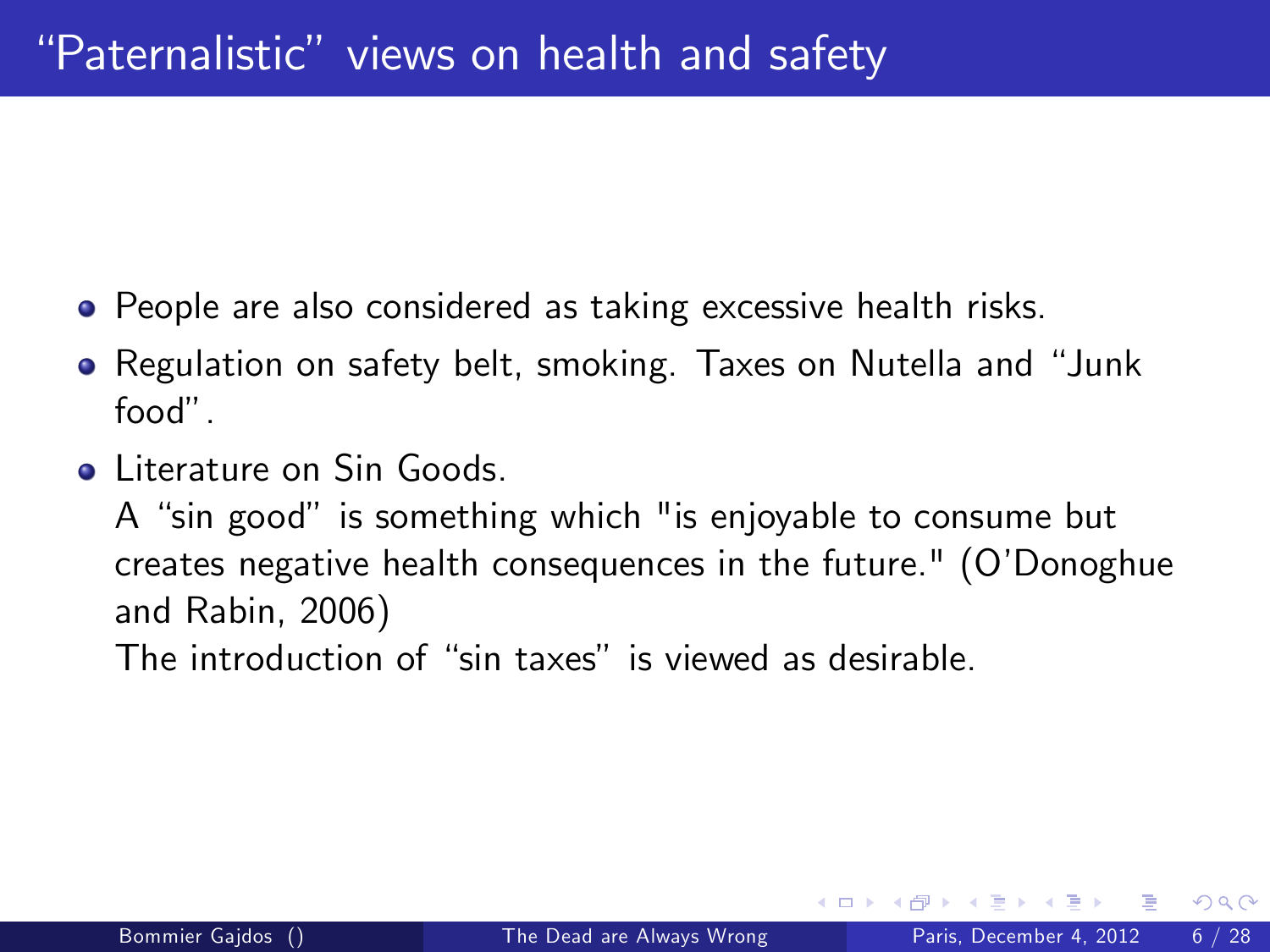- **•** People are also considered as taking excessive health risks.
- Regulation on safety belt, smoking. Taxes on Nutella and "Junk food $"$
- **.** Literature on Sin Goods.

A "sin good" is something which "is enjoyable to consume but creates negative health consequences in the future." (OíDonoghue and Rabin, 2006)

The introduction of "sin taxes" is viewed as desirable.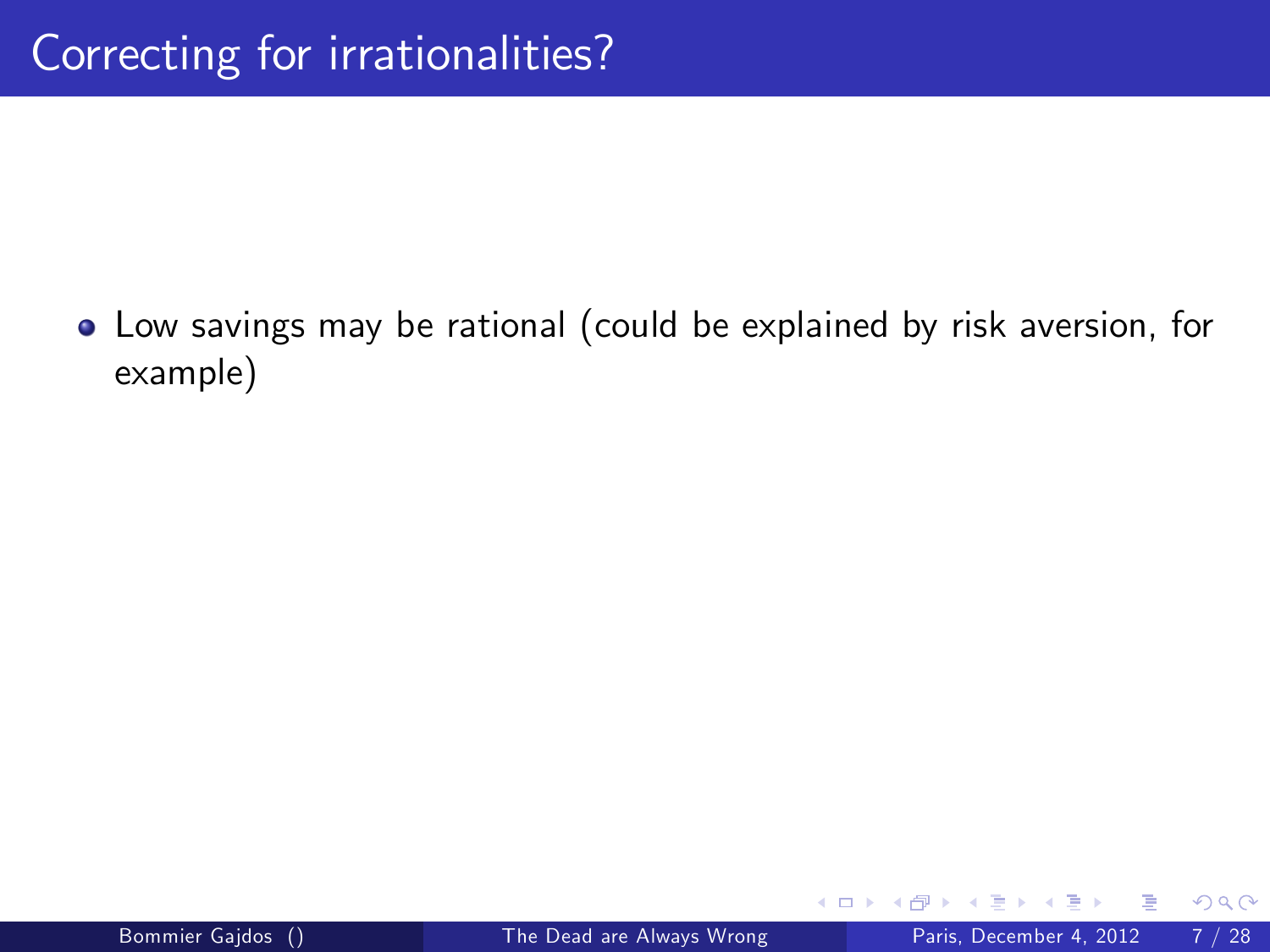Low savings may be rational (could be explained by risk aversion, for example)

4 0 8

 $QQ$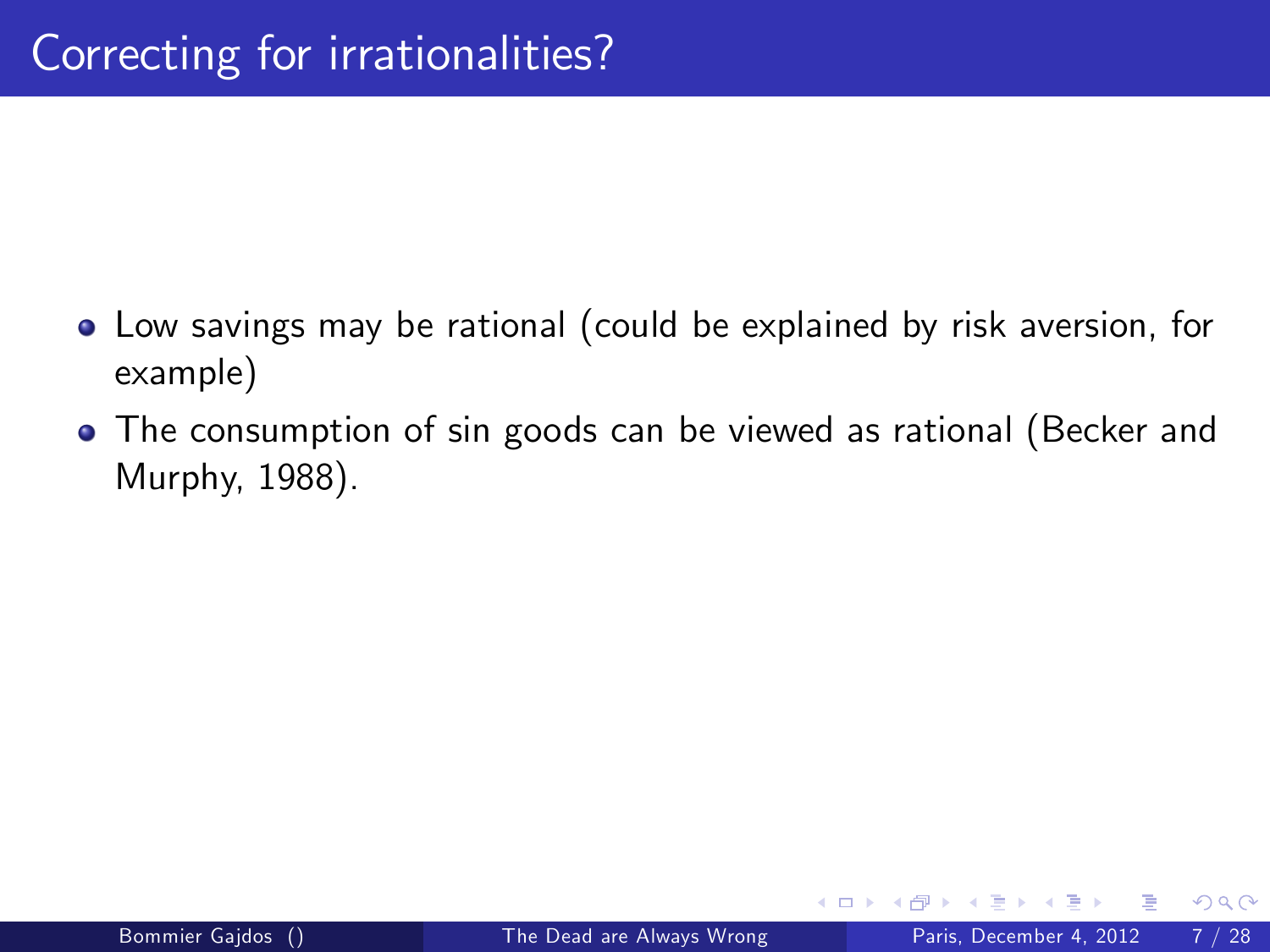- Low savings may be rational (could be explained by risk aversion, for example)
- The consumption of sin goods can be viewed as rational (Becker and Murphy, 1988).

4 D F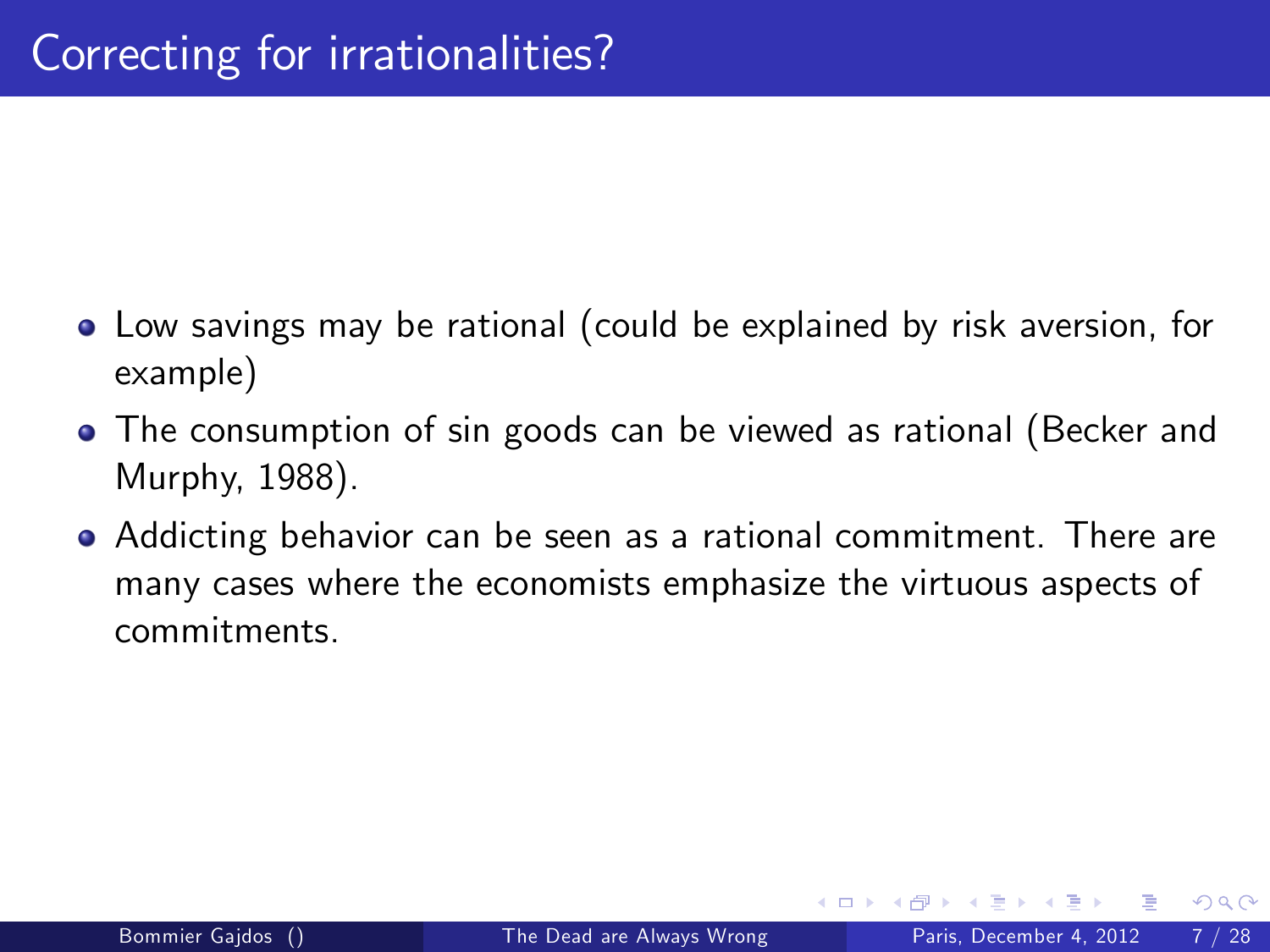- Low savings may be rational (could be explained by risk aversion, for example)
- The consumption of sin goods can be viewed as rational (Becker and Murphy, 1988).
- Addicting behavior can be seen as a rational commitment. There are many cases where the economists emphasize the virtuous aspects of commitments.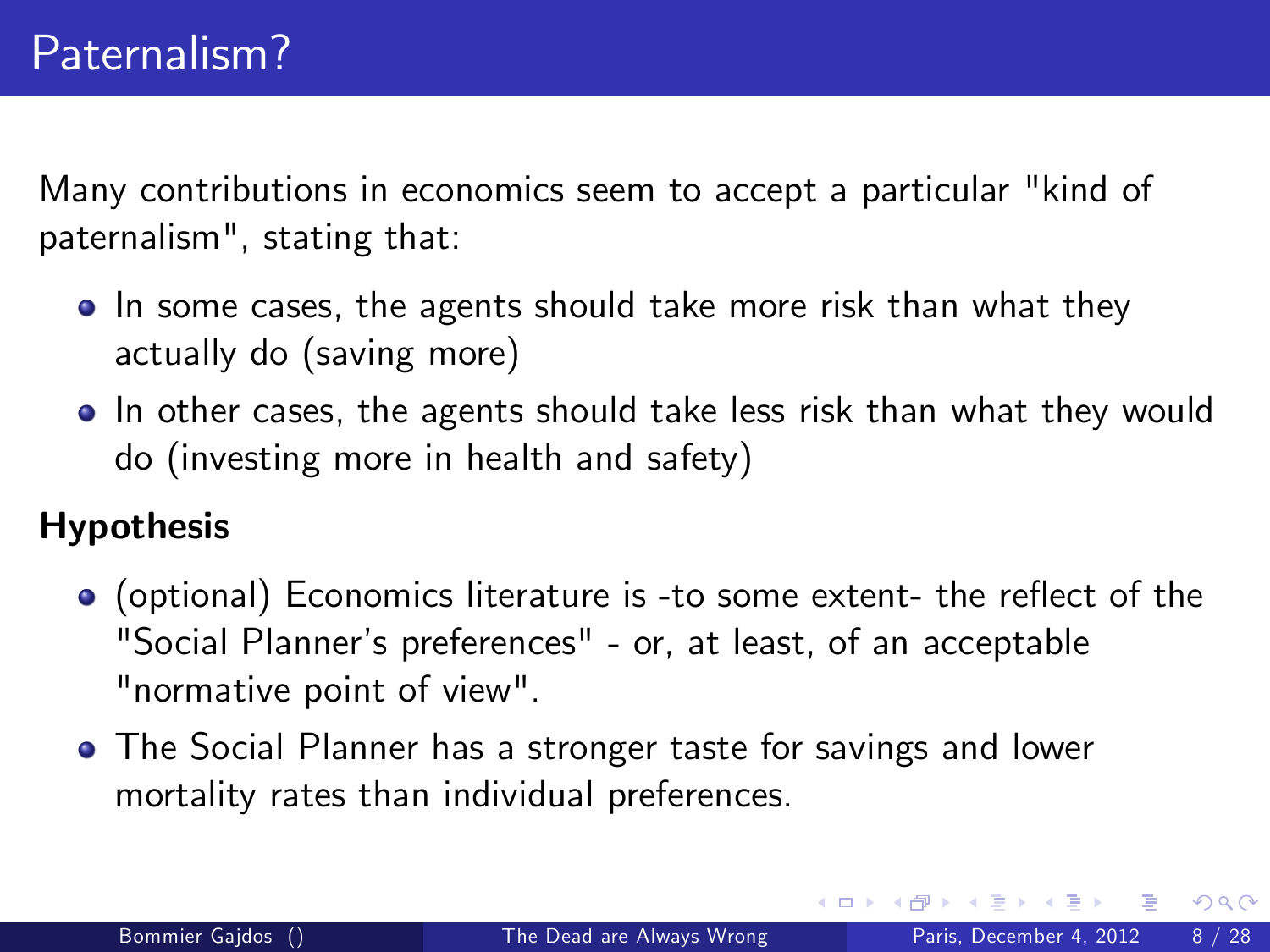Many contributions in economics seem to accept a particular "kind of paternalism", stating that:

- In some cases, the agents should take more risk than what they actually do (saving more)
- In other cases, the agents should take less risk than what they would do (investing more in health and safety)

### Hypothesis

- $\bullet$  (optional) Economics literature is -to some extent- the reflect of the "Social Plannerís preferences" - or, at least, of an acceptable "normative point of view".
- The Social Planner has a stronger taste for savings and lower mortality rates than individual preferences.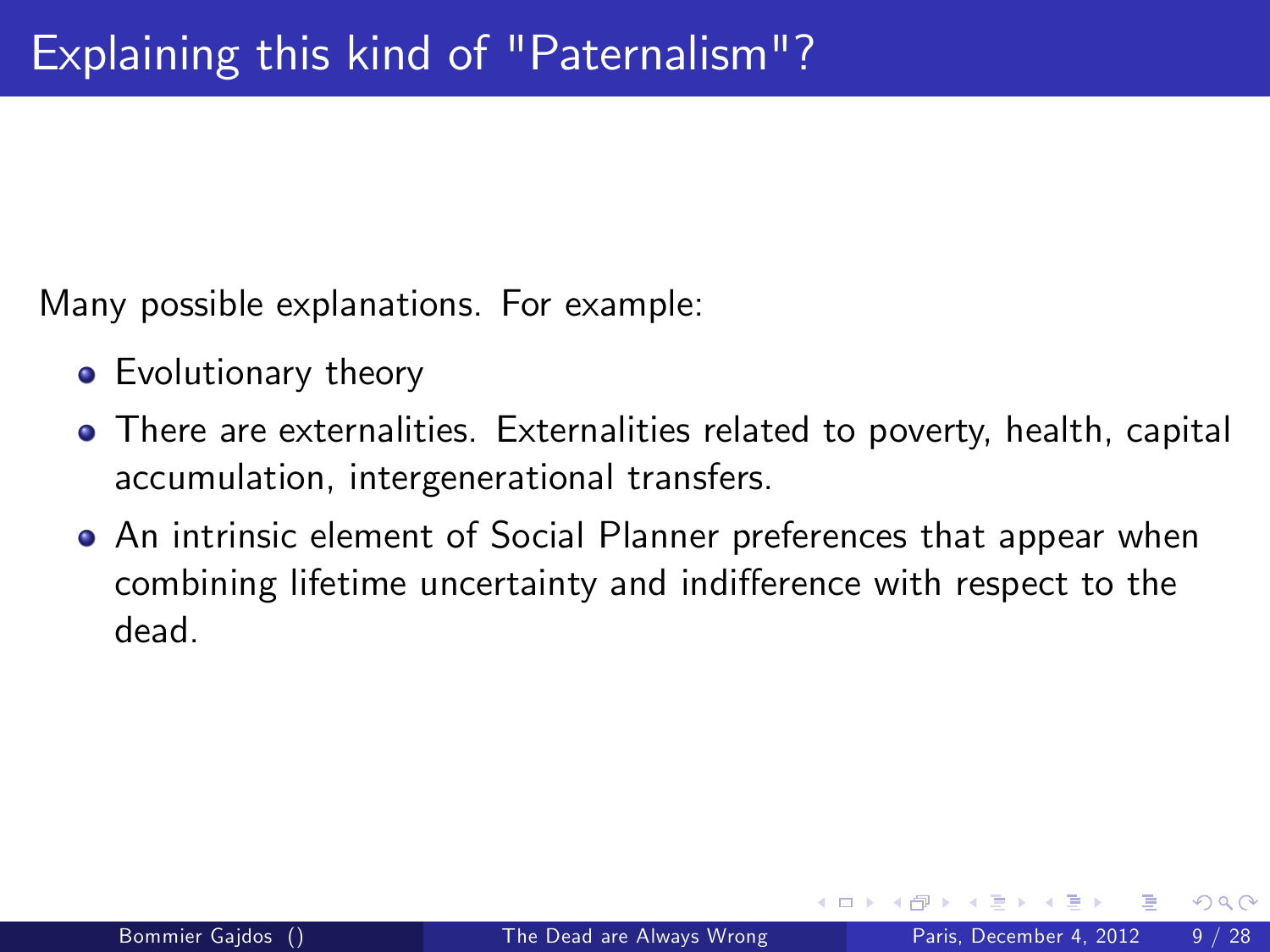Many possible explanations. For example:

- Evolutionary theory
- There are externalities. Externalities related to poverty, health, capital accumulation, intergenerational transfers.
- An intrinsic element of Social Planner preferences that appear when combining lifetime uncertainty and indifference with respect to the dead.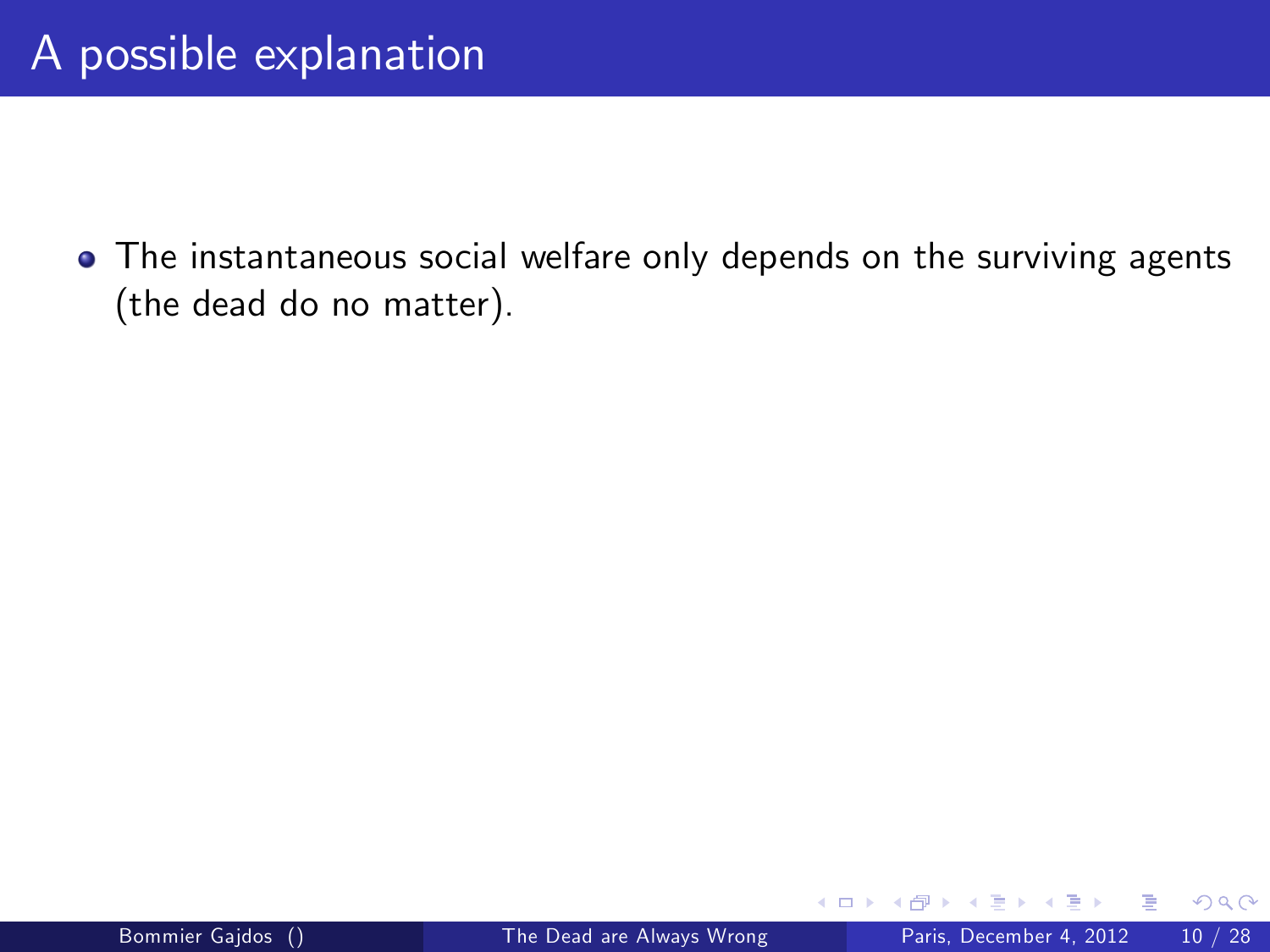The instantaneous social welfare only depends on the surviving agents (the dead do no matter).

4 0 8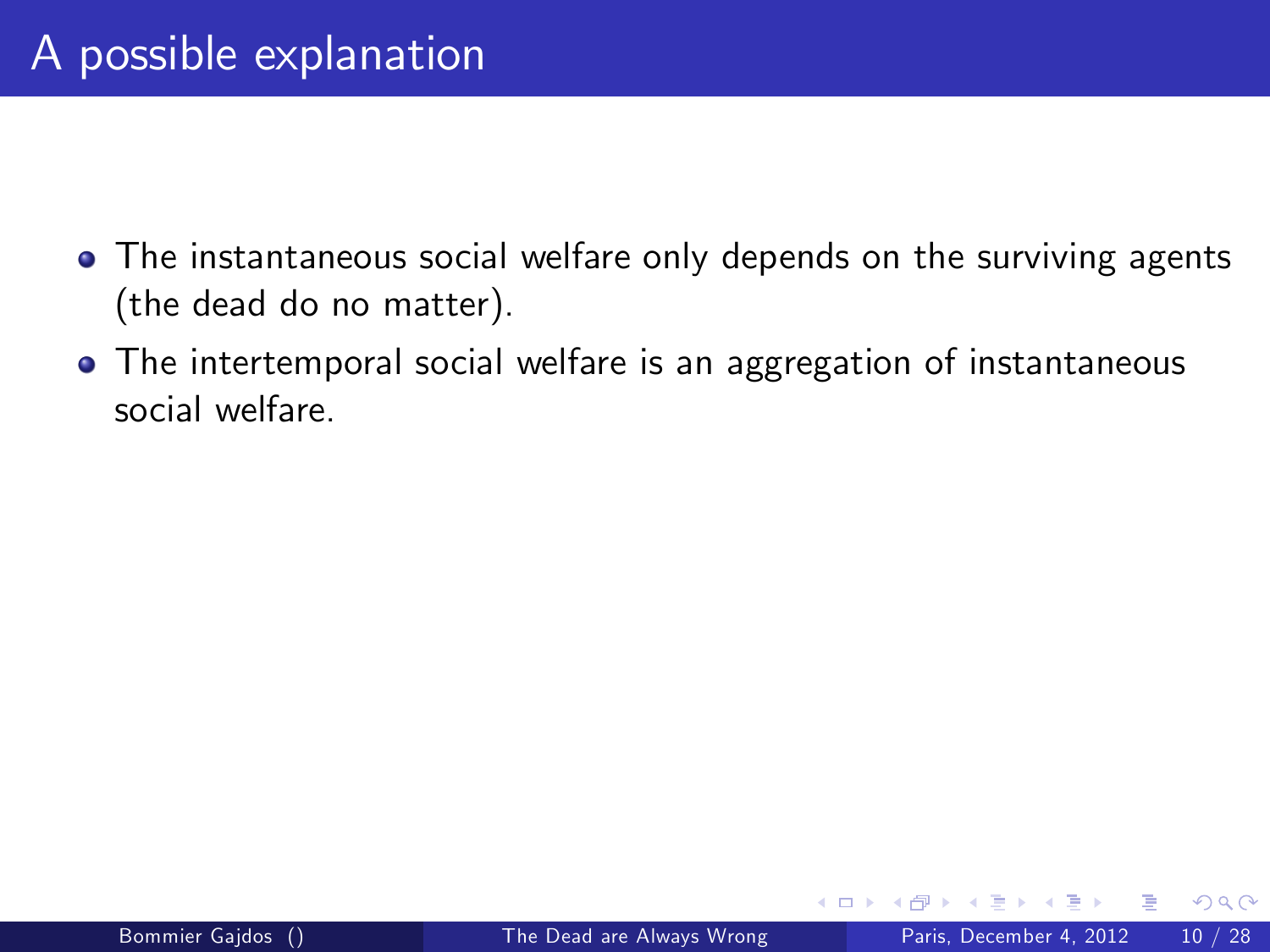- The instantaneous social welfare only depends on the surviving agents (the dead do no matter).
- The intertemporal social welfare is an aggregation of instantaneous social welfare.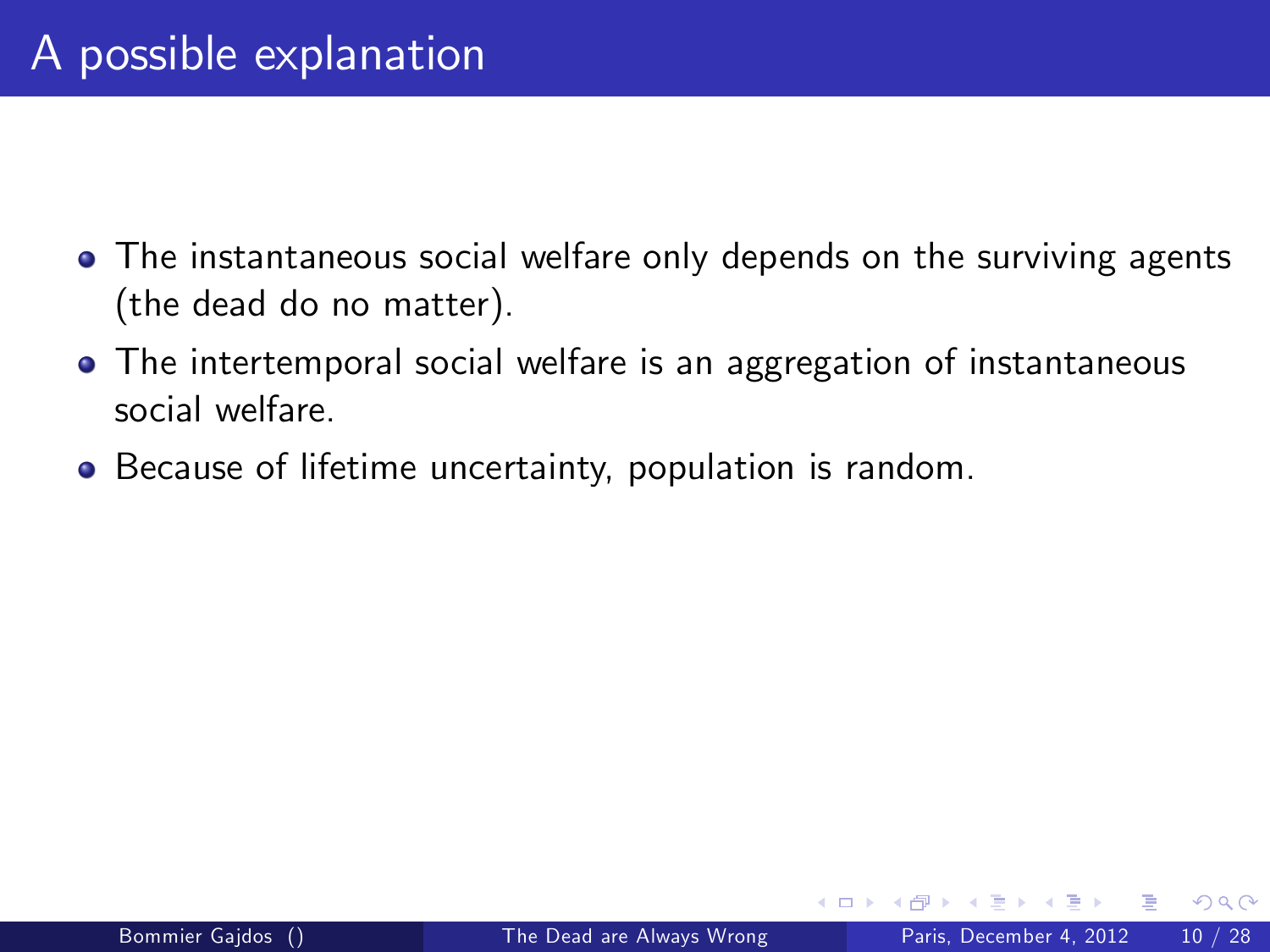- The instantaneous social welfare only depends on the surviving agents (the dead do no matter).
- The intertemporal social welfare is an aggregation of instantaneous social welfare.
- Because of lifetime uncertainty, population is random.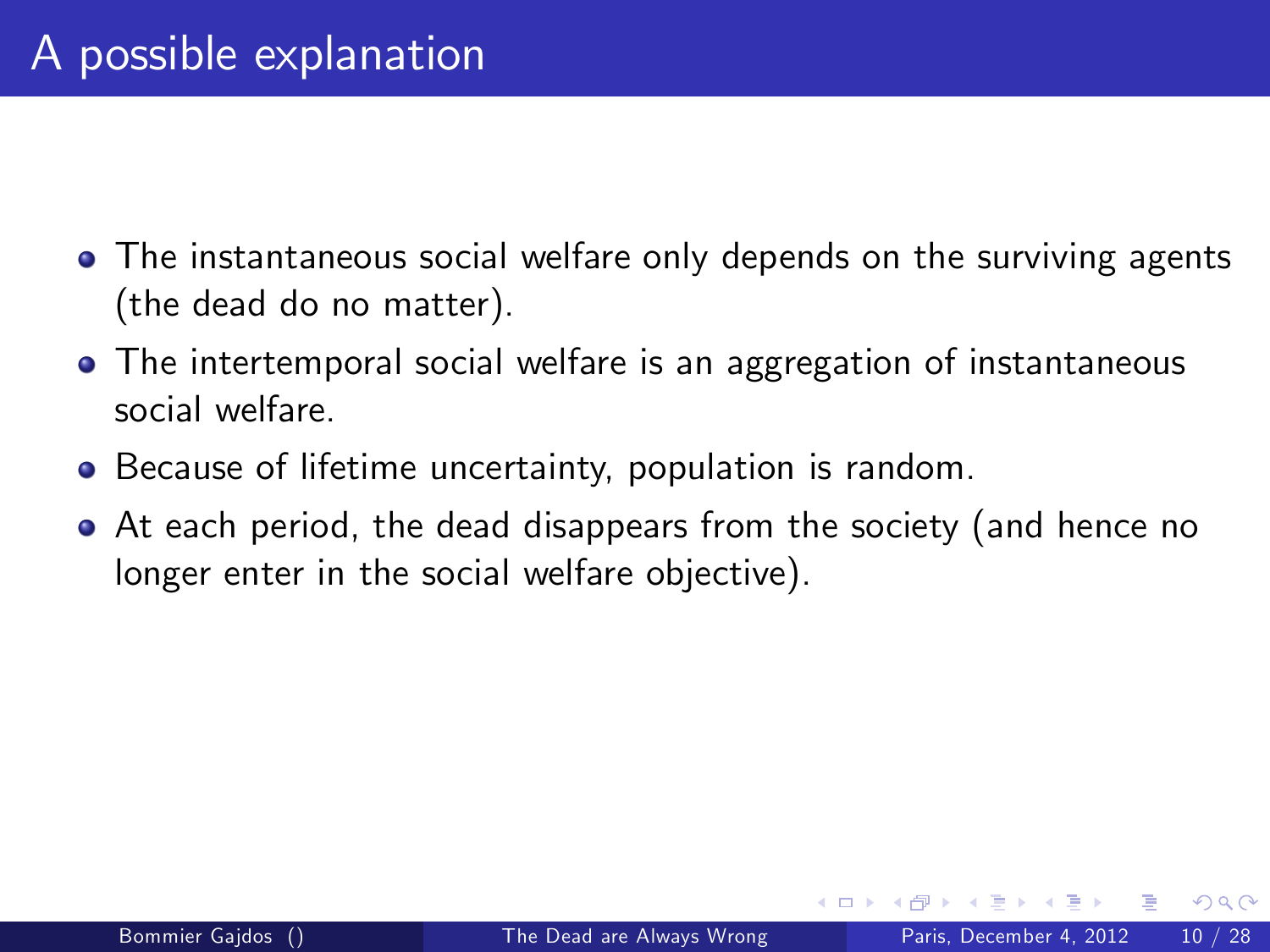- The instantaneous social welfare only depends on the surviving agents (the dead do no matter).
- The intertemporal social welfare is an aggregation of instantaneous social welfare.
- **•** Because of lifetime uncertainty, population is random.
- At each period, the dead disappears from the society (and hence no longer enter in the social welfare objective).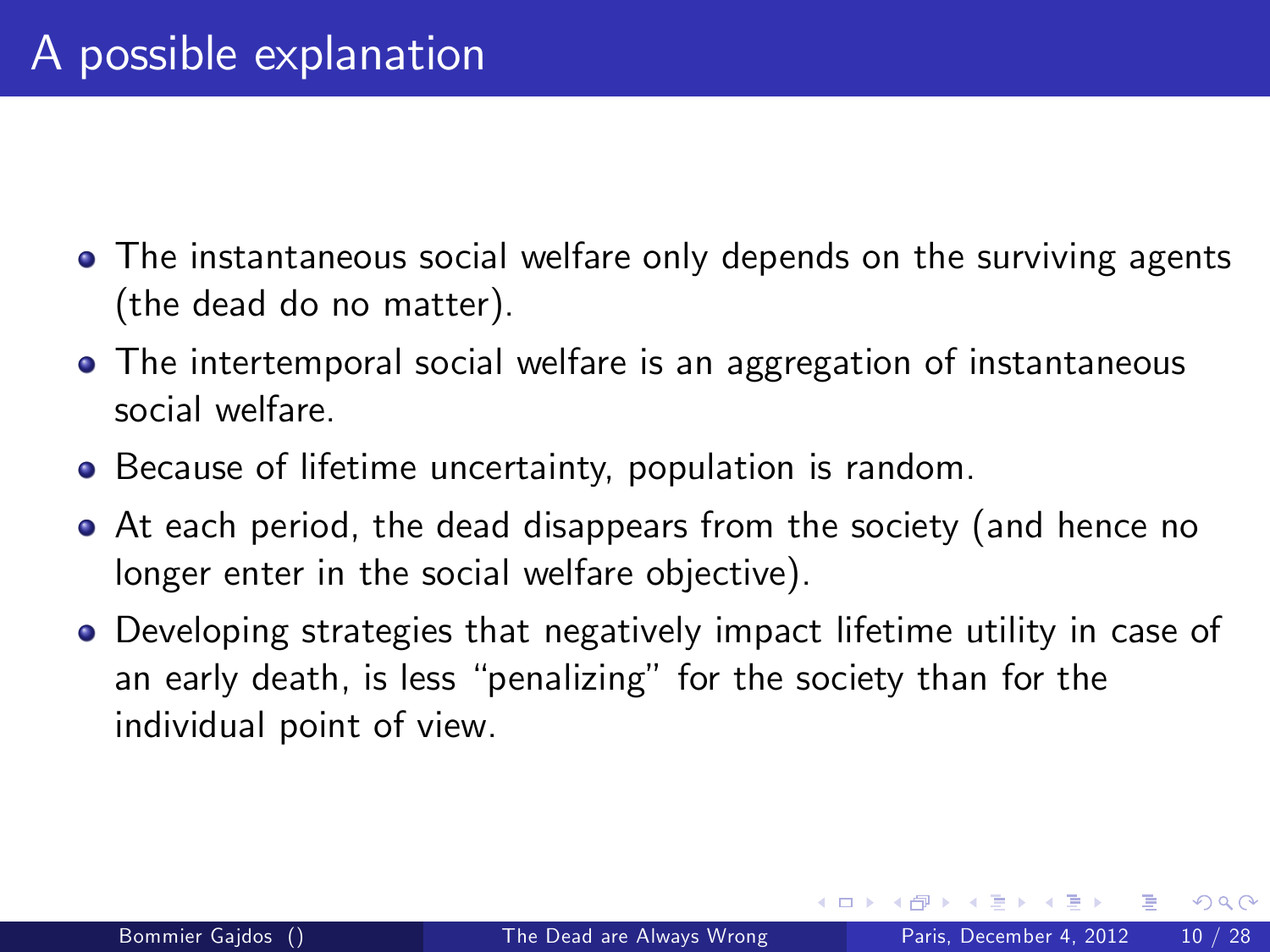- The instantaneous social welfare only depends on the surviving agents (the dead do no matter).
- The intertemporal social welfare is an aggregation of instantaneous social welfare.
- **•** Because of lifetime uncertainty, population is random.
- At each period, the dead disappears from the society (and hence no longer enter in the social welfare objective).
- Developing strategies that negatively impact lifetime utility in case of an early death, is less "penalizing" for the society than for the individual point of view.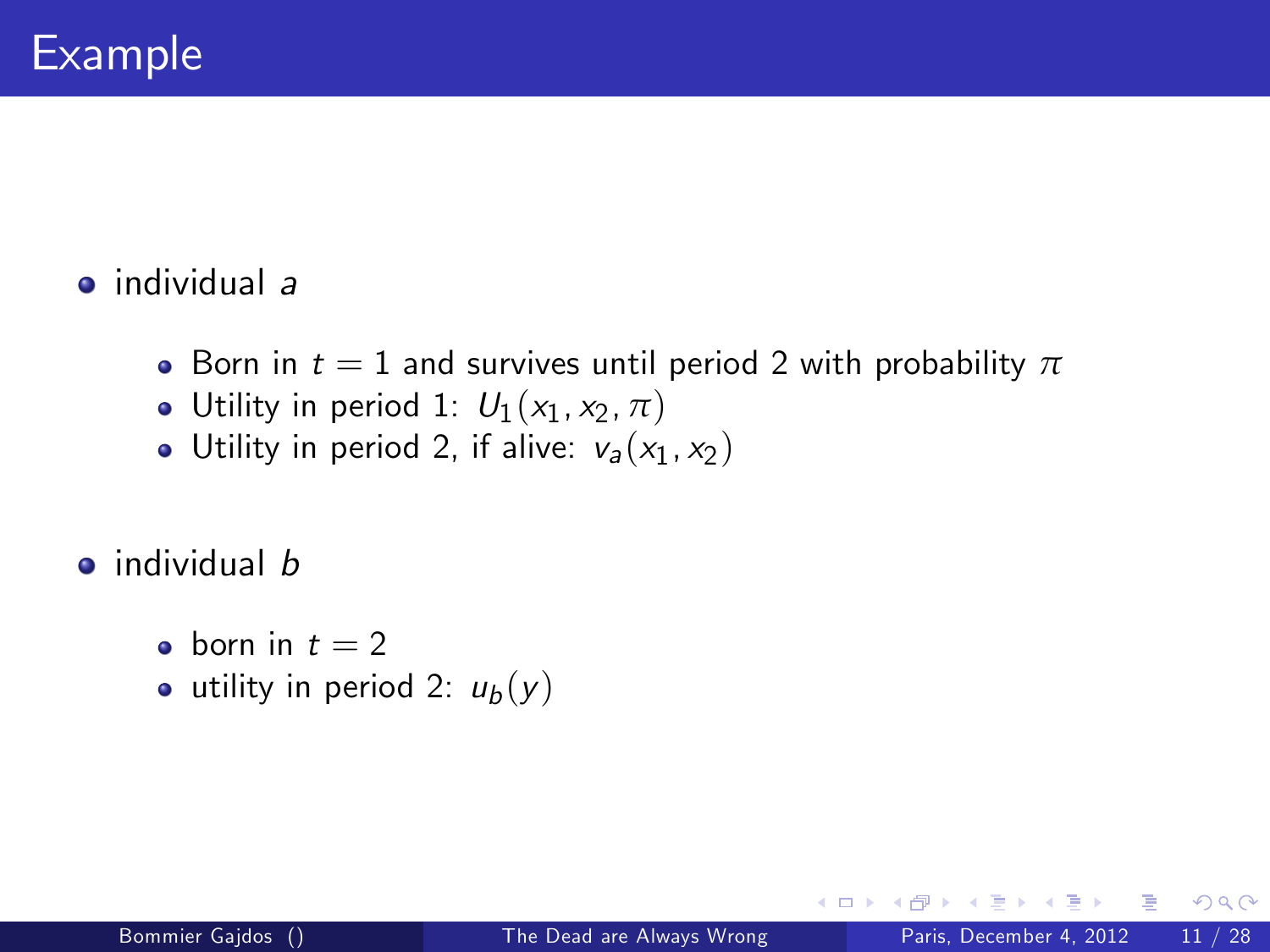### individual a

- **•** Born in  $t = 1$  and survives until period 2 with probability  $\pi$
- Utility in period 1:  $U_1(x_1, x_2, \pi)$
- Utility in period 2, if alive:  $v_a(x_1, x_2)$

### **a** individual *b*

- born in  $t = 2$
- utility in period 2:  $u_b(y)$

4 D F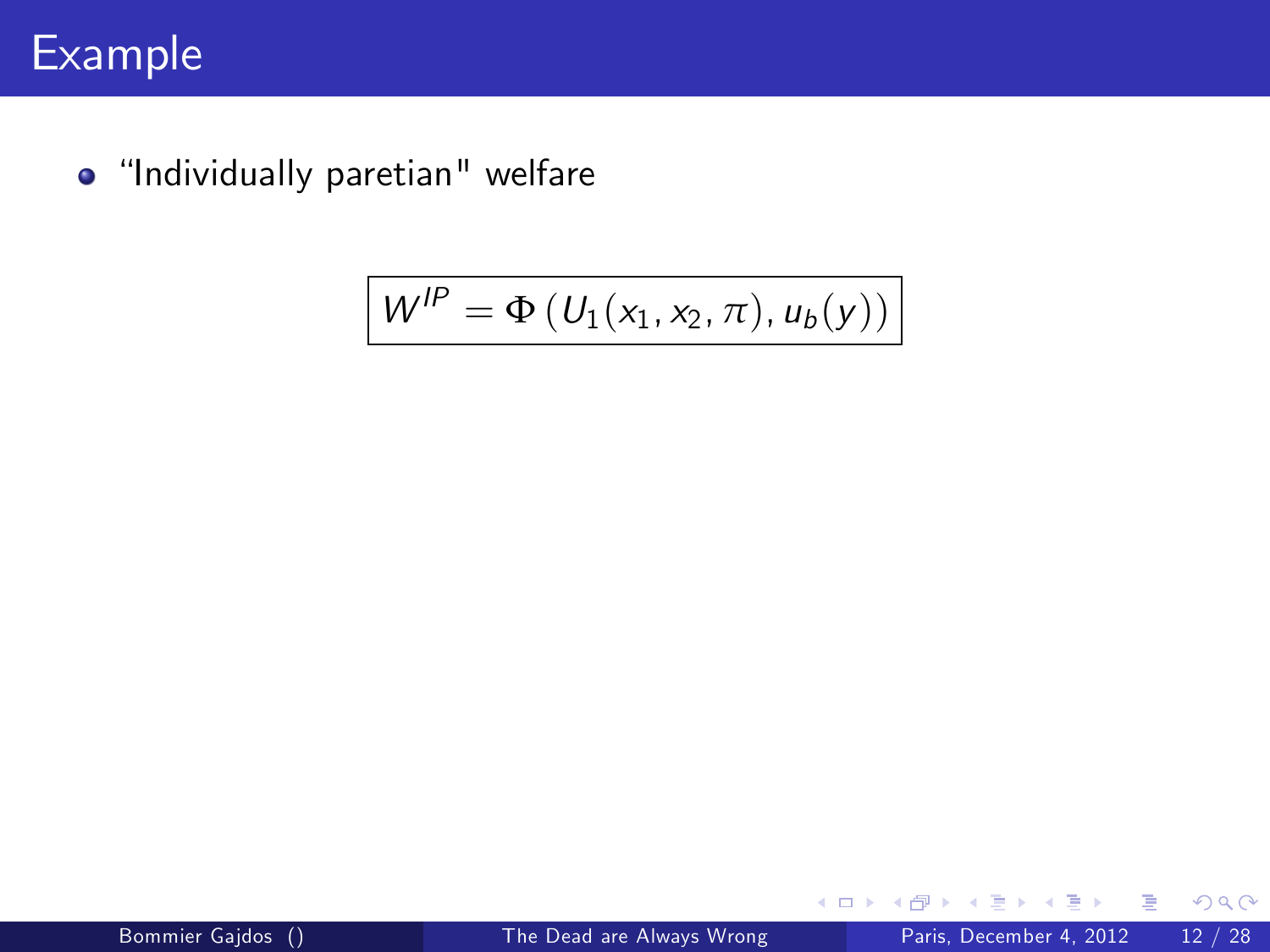## Example

· "Individually paretian" welfare

$$
W^{IP} = \Phi(U_1(x_1, x_2, \pi), u_b(y))
$$

 $\,$ 

**← ロ ▶ → イ 同** 

× a. ∍ 重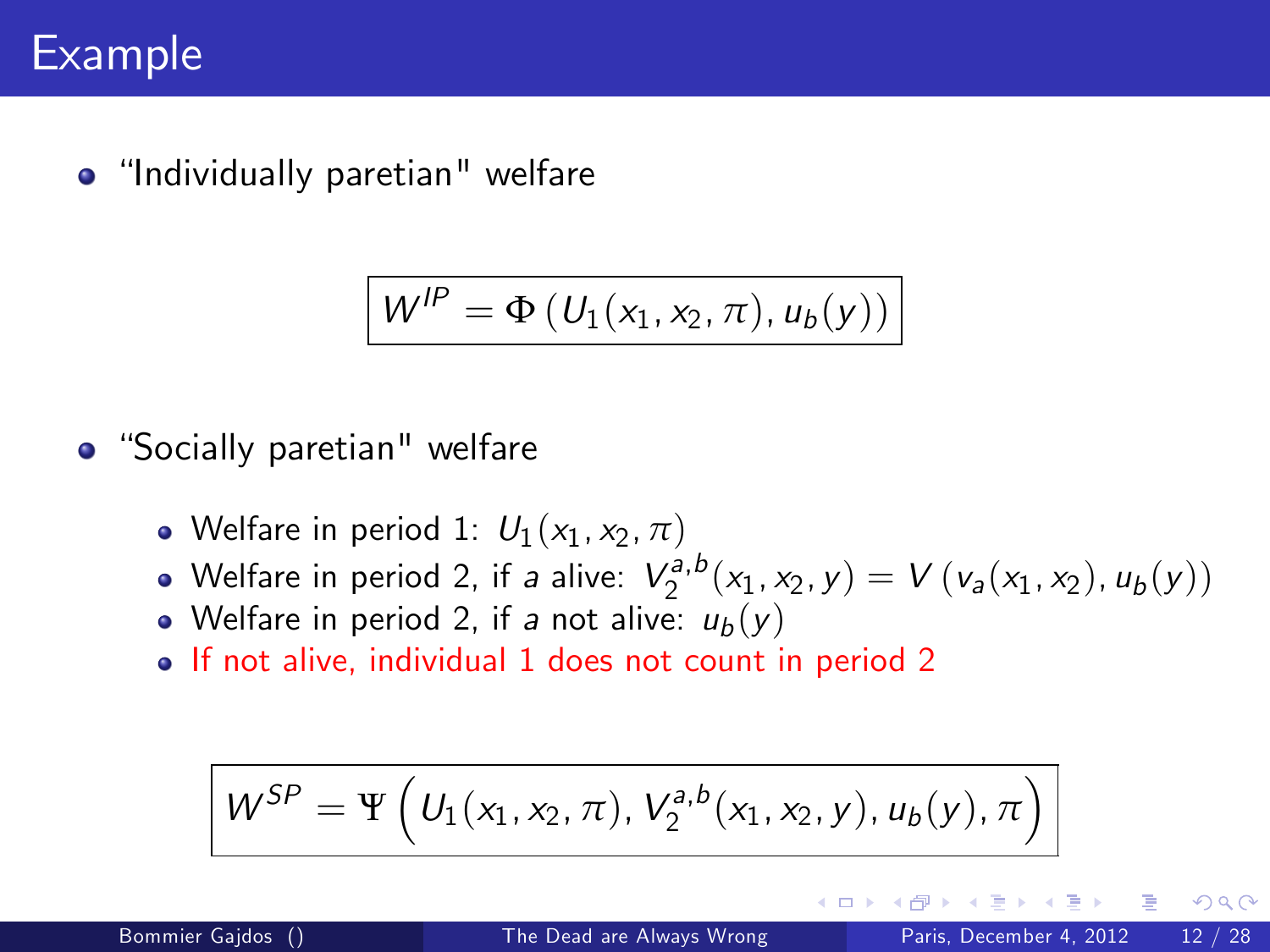# Example

• "Individually paretian" welfare

$$
W^{IP} = \Phi(U_1(x_1, x_2, \pi), u_b(y))
$$

- "Socially paretian" welfare
	- Welfare in period 1:  $U_1(x_1, x_2, \pi)$
	- Welfare in period 2, if a alive:  $V_2^{a,b}(x_1, x_2, y) = V(v_a(x_1, x_2), u_b(y))$
	- Welfare in period 2, if a not alive:  $u_b(y)$
	- If not alive, individual 1 does not count in period 2

$$
W^{SP} = \Psi\left(U_1(x_1, x_2, \pi), V_2^{a,b}(x_1, x_2, y), u_b(y), \pi\right)
$$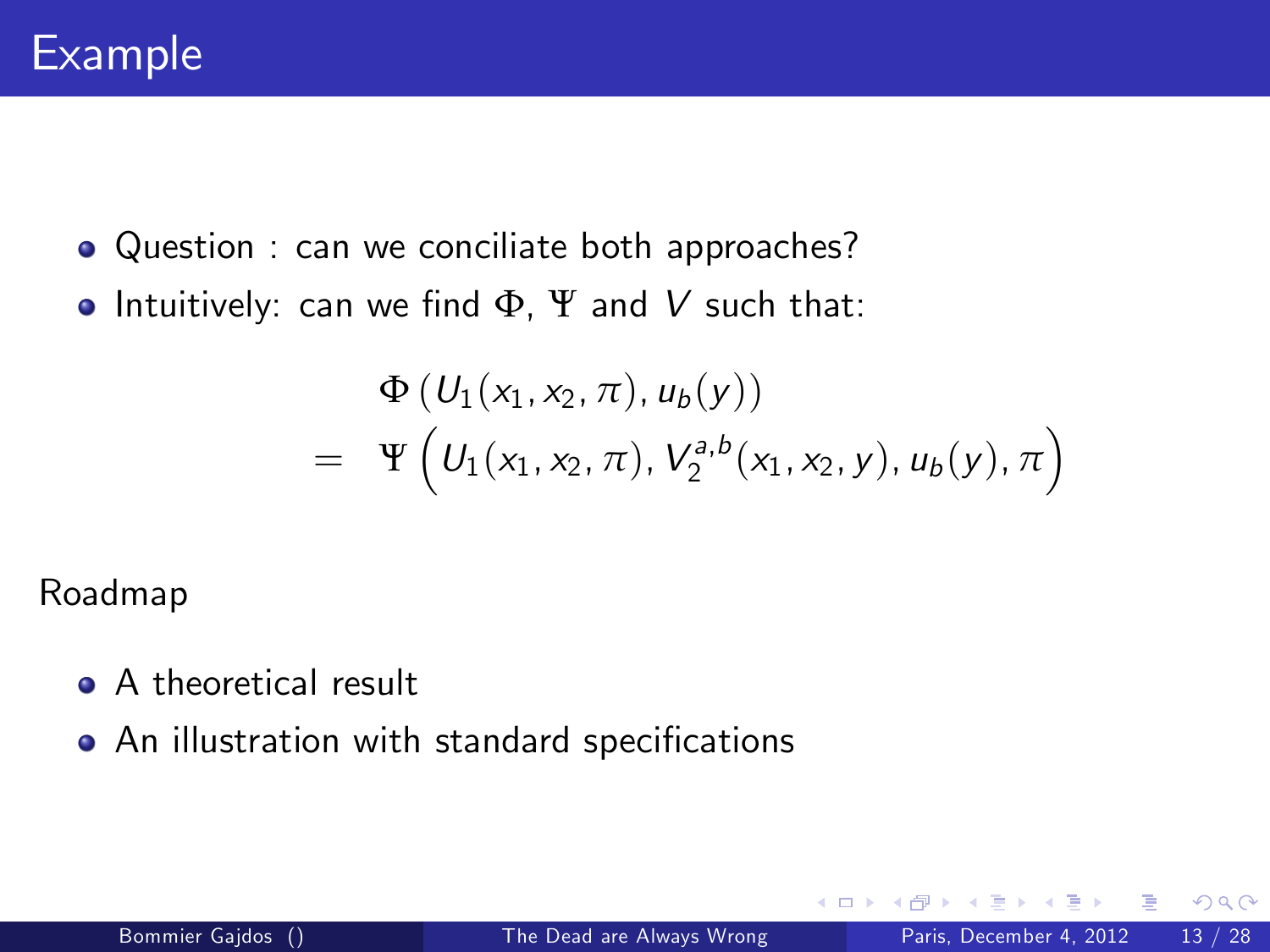- Question : can we conciliate both approaches?
- Intuitively: can we find  $\Phi$ ,  $\Psi$  and V such that:

$$
\Phi(U_1(x_1, x_2, \pi), u_b(y))
$$
\n
$$
= \Psi(U_1(x_1, x_2, \pi), V_2^{a,b}(x_1, x_2, y), u_b(y), \pi)
$$

Roadmap

- A theoretical result
- An illustration with standard specifications

4 D F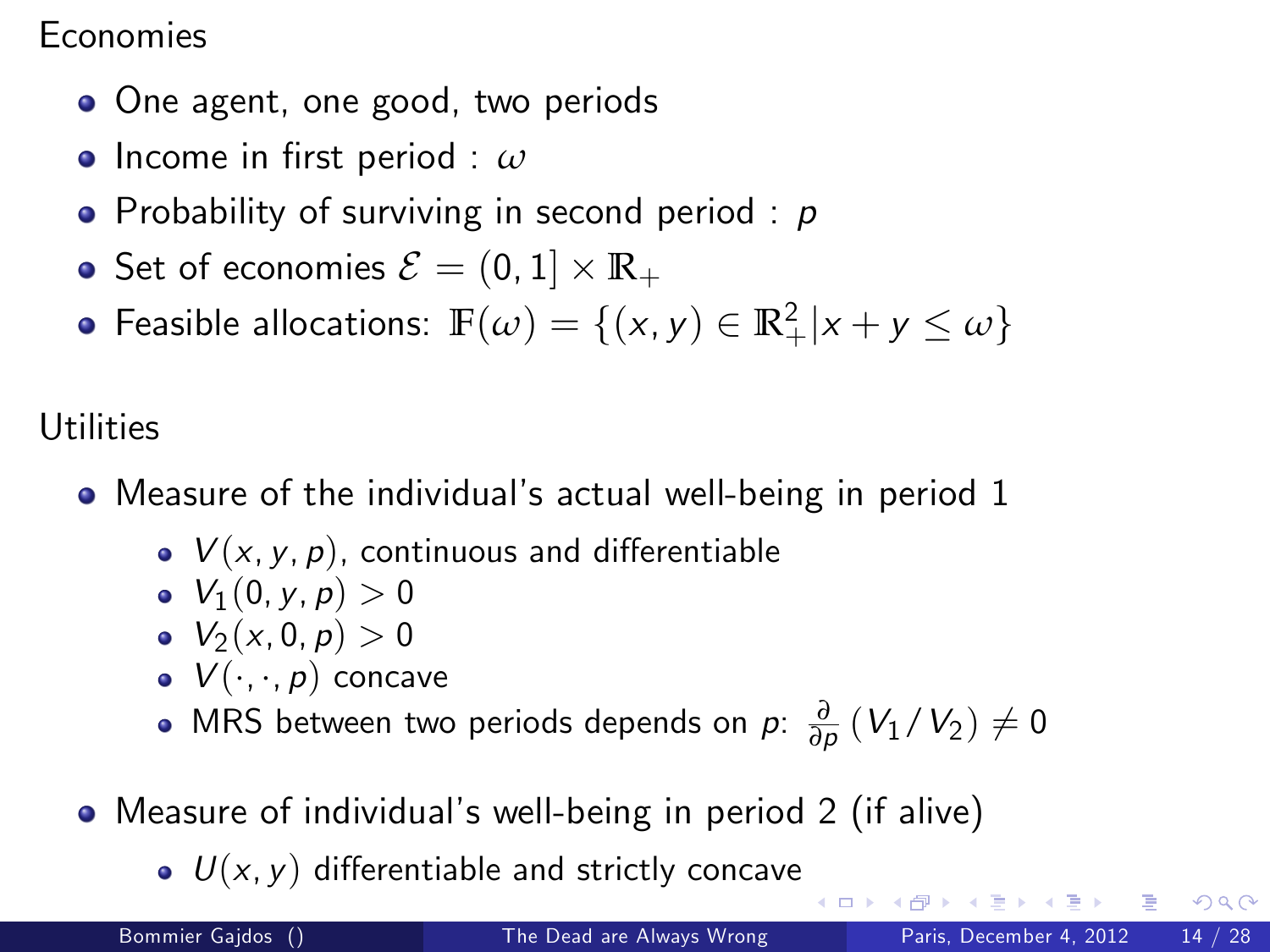#### Economies

- One agent, one good, two periods
- **•** Income in first period : *ω*
- $\bullet$  Probability of surviving in second period : p
- Set of economies  $\mathcal{E} = (0,1] \times \mathbb{R}_+$
- Feasible allocations:  $\mathbb{F}(\omega) = \{ (x, y) \in \mathbb{R}_+^2 | x + y \leq \omega \}$

### **Utilities**

- **•** Measure of the individual's actual well-being in period 1
	- $V(x, y, p)$ , continuous and differentiable
	- $V_1(0, y, p) > 0$
	- $V_2(x, 0, p) > 0$
	- $\bullet \; V(\cdot, \cdot, p)$  concave
	- MRS between two periods depends on  $p$ :  $\frac{\partial}{\partial p} (V_1/V_2) \neq 0$
- Measure of individual's well-being in period 2 (if alive)
	- $\bullet$   $U(x, y)$  differentiable and strictly concave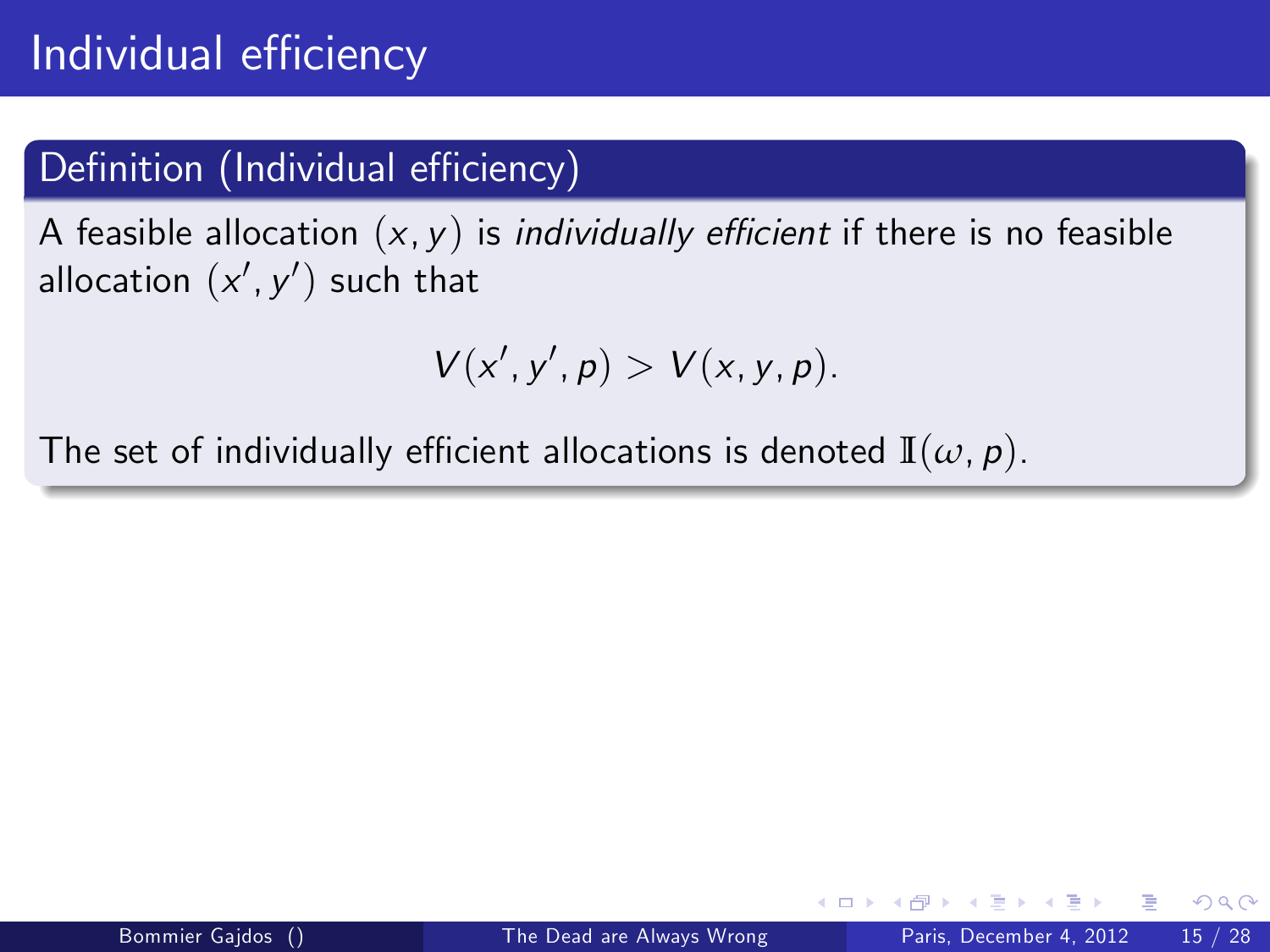# Individual efficiency

### Definition (Individual efficiency)

A feasible allocation  $(x, y)$  is *individually efficient* if there is no feasible allocation  $(x',y')$  such that

$$
V(x',y',p) > V(x,y,p).
$$

The set of individually efficient allocations is denoted  $\mathbb{I}(\omega, p)$ .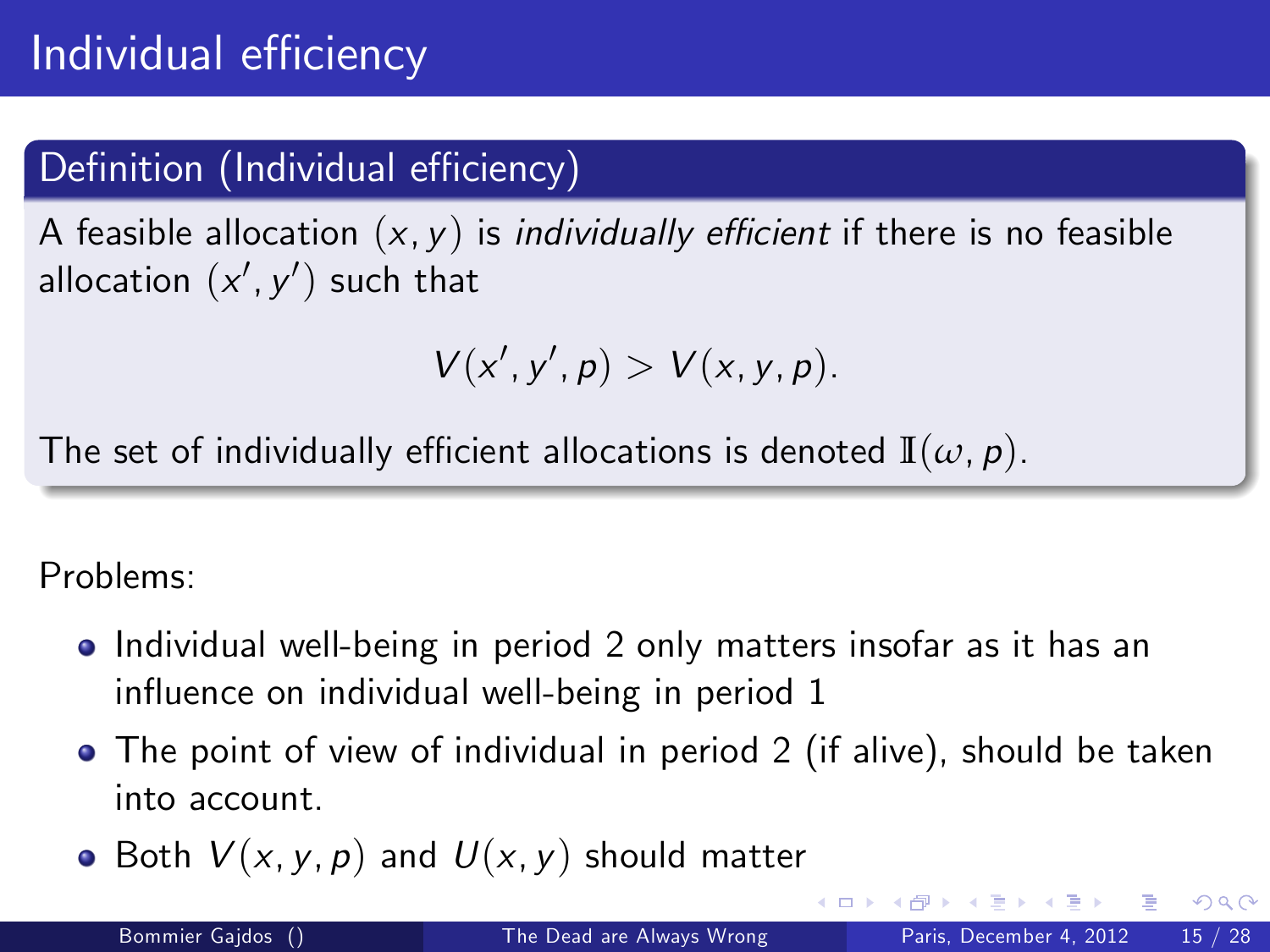# Individual efficiency

### Definition (Individual efficiency)

A feasible allocation  $(x, y)$  is *individually efficient* if there is no feasible allocation  $(x',y')$  such that

$$
V(x',y',p) > V(x,y,p).
$$

The set of individually efficient allocations is denoted  $\mathbb{I}(\omega, p)$ .

Problems:

- Individual well-being in period 2 only matters insofar as it has an influence on individual well-being in period 1
- The point of view of individual in period 2 (if alive), should be taken into account.
- Both  $V(x, y, p)$  and  $U(x, y)$  should matter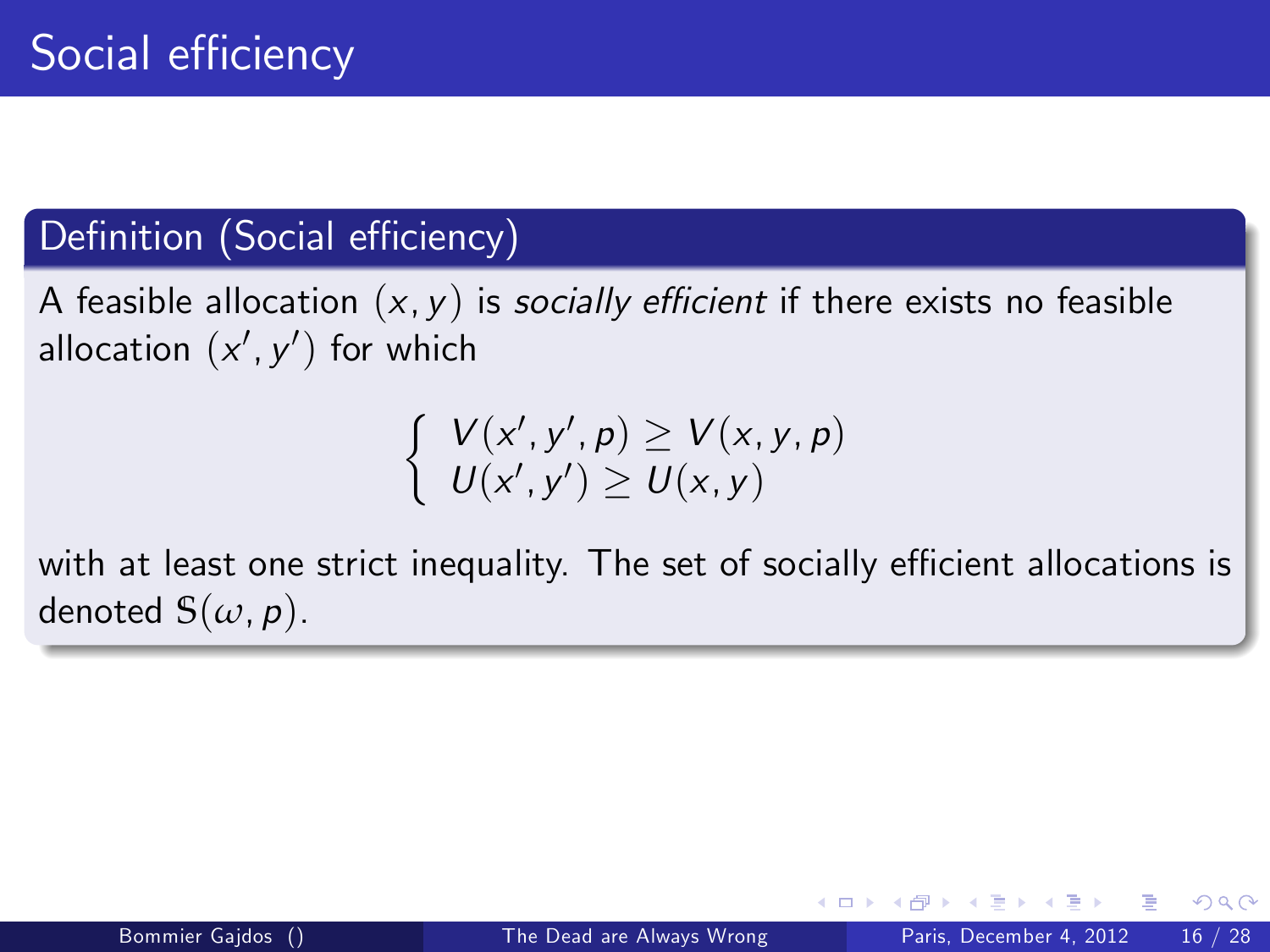### Definition (Social efficiency)

A feasible allocation  $(x, y)$  is socially efficient if there exists no feasible allocation  $(x',y')$  for which

$$
\left\{\n\begin{array}{l}\nV(x', y', p) \geq V(x, y, p) \\
U(x', y') \geq U(x, y)\n\end{array}\n\right.
$$

with at least one strict inequality. The set of socially efficient allocations is denoted  $S(\omega, p)$ .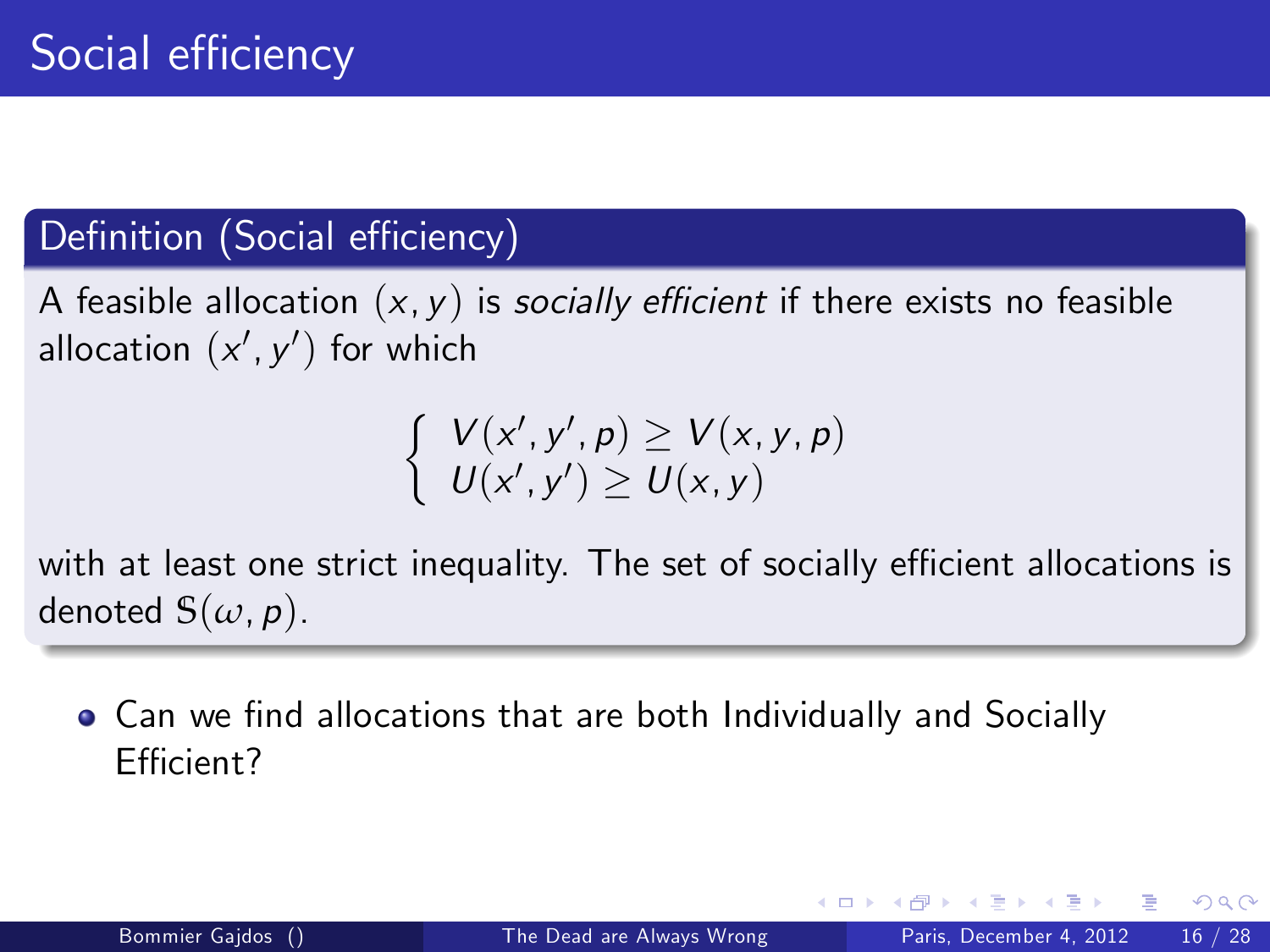### Definition (Social efficiency)

A feasible allocation  $(x, y)$  is socially efficient if there exists no feasible allocation  $(x',y')$  for which

$$
\left\{\n\begin{array}{l}\nV(x', y', p) \geq V(x, y, p) \\
U(x', y') \geq U(x, y)\n\end{array}\n\right.
$$

with at least one strict inequality. The set of socially efficient allocations is denoted  $S(\omega, p)$ .

• Can we find allocations that are both Individually and Socially Ffficient?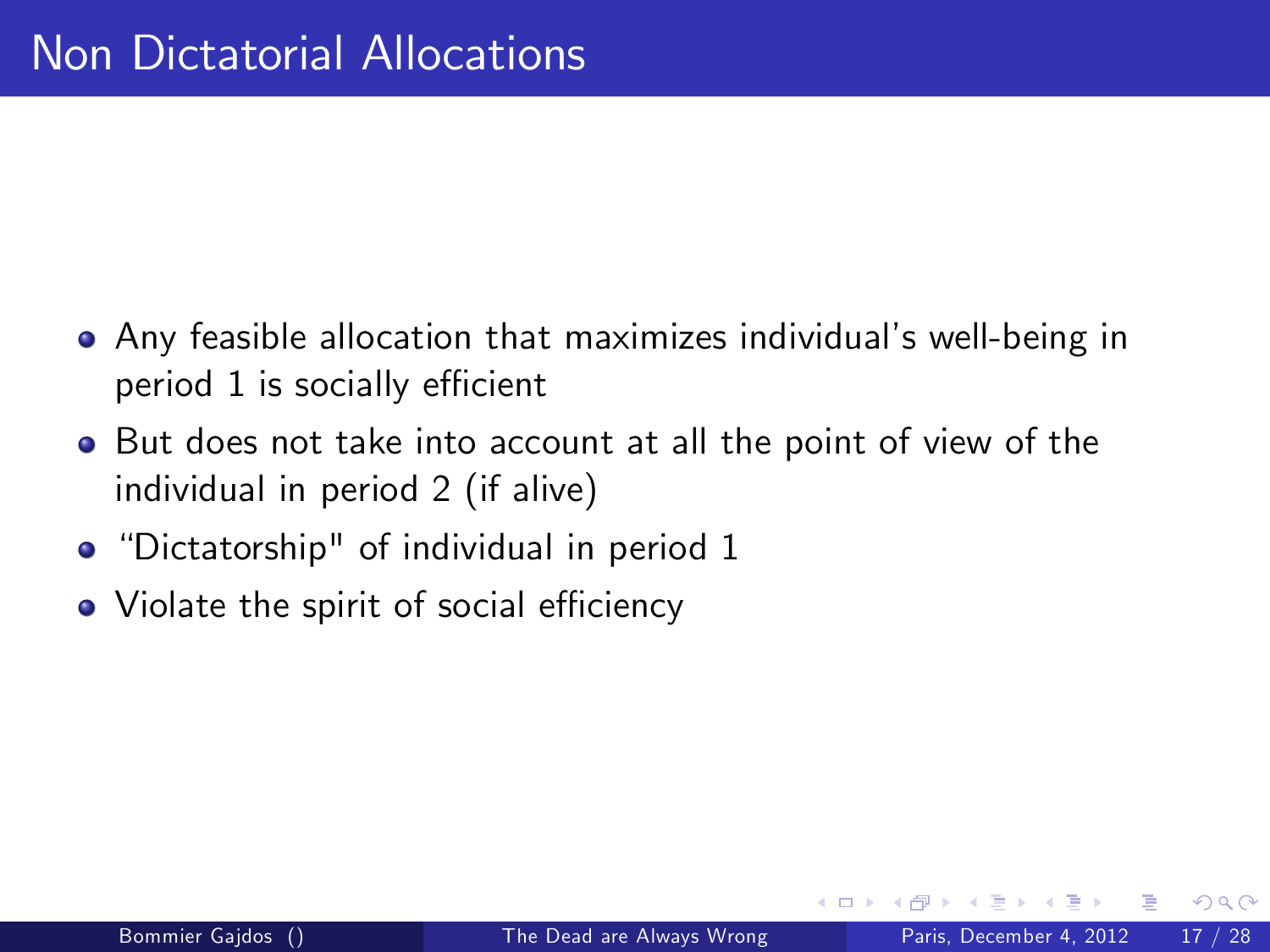- **•** Any feasible allocation that maximizes individual's well-being in period 1 is socially efficient
- **•** But does not take into account at all the point of view of the individual in period 2 (if alive)
- "Dictatorship" of individual in period 1
- Violate the spirit of social efficiency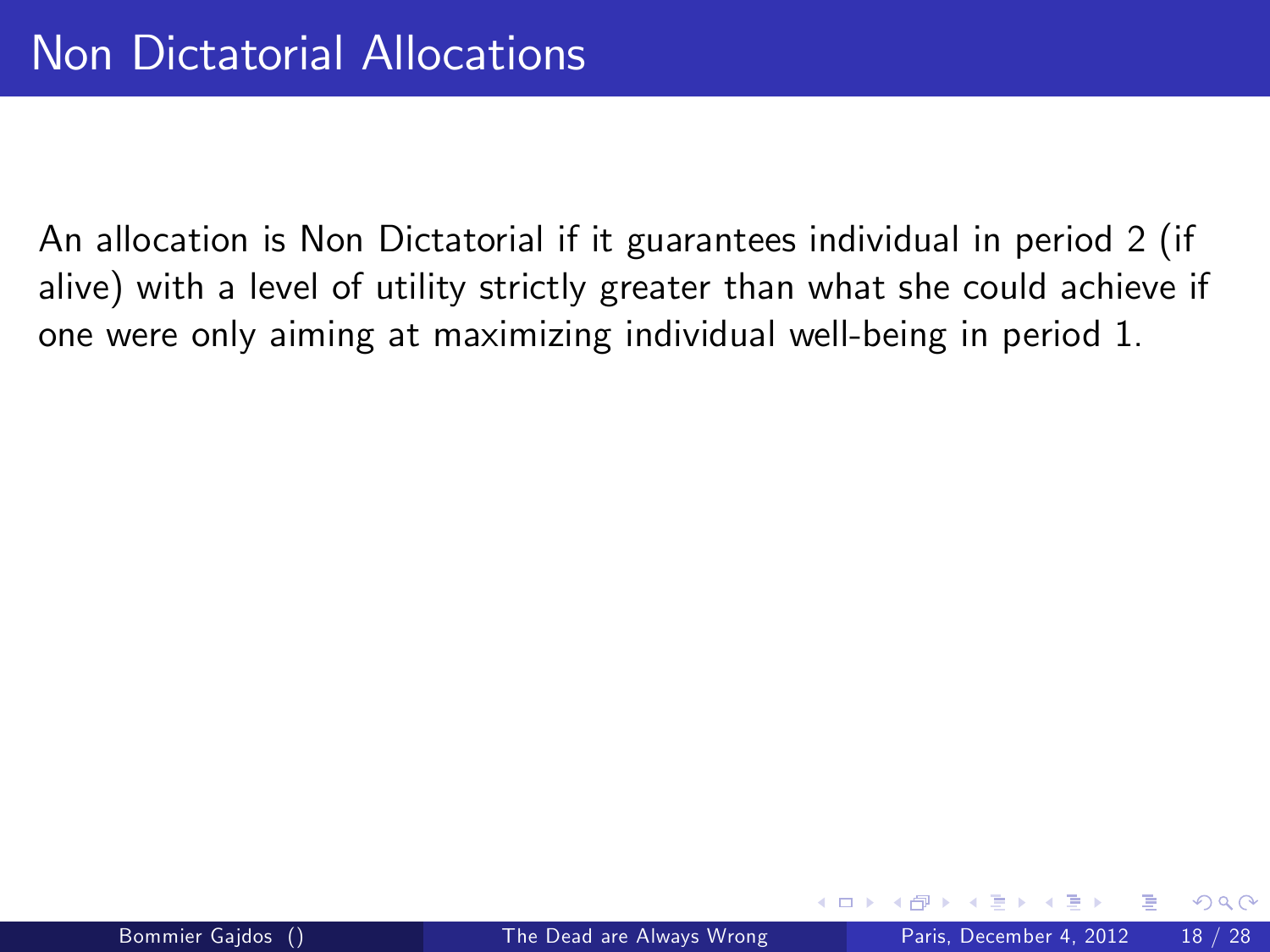An allocation is Non Dictatorial if it guarantees individual in period 2 (if alive) with a level of utility strictly greater than what she could achieve if one were only aiming at maximizing individual well-being in period 1.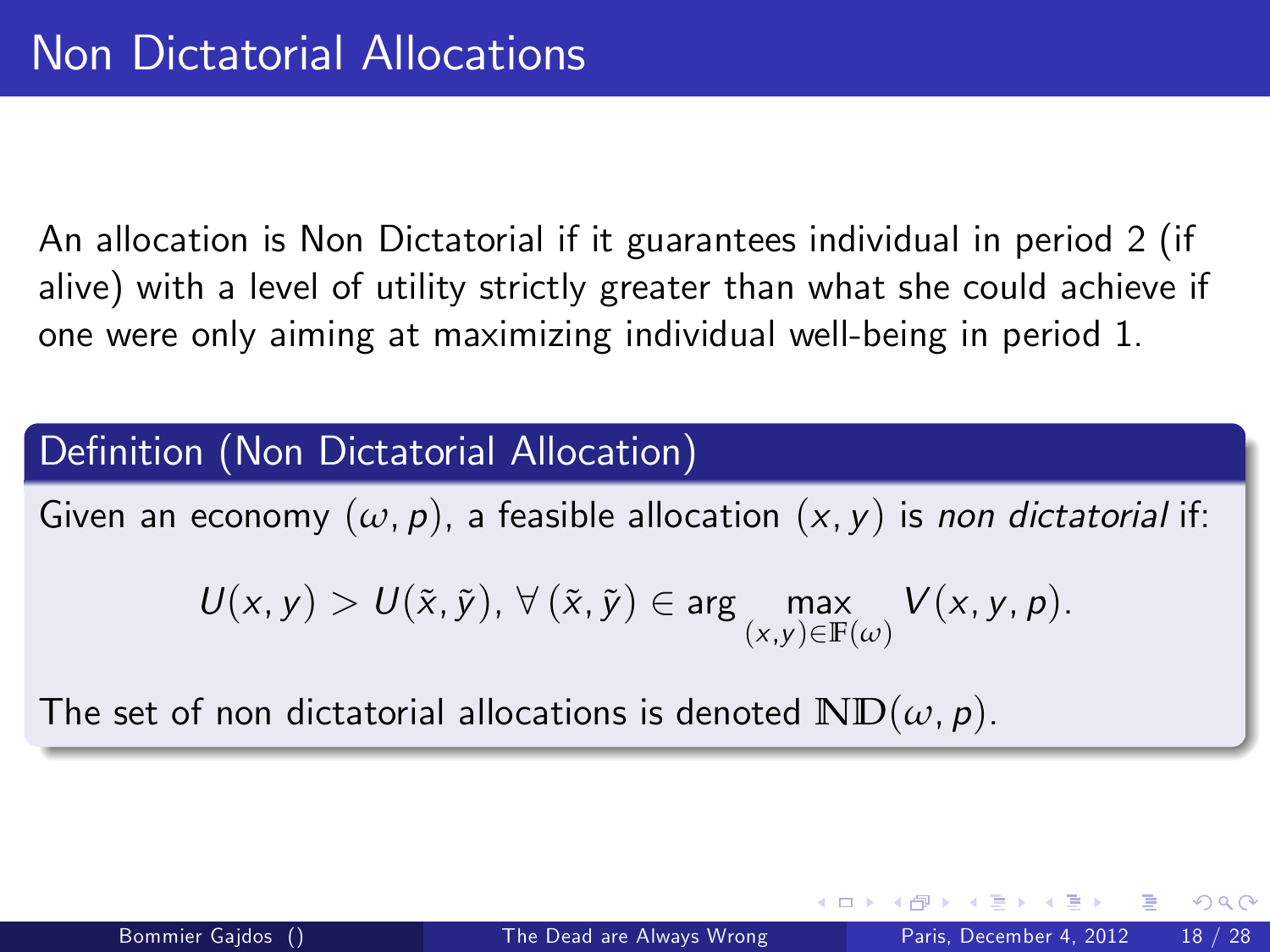An allocation is Non Dictatorial if it guarantees individual in period 2 (if alive) with a level of utility strictly greater than what she could achieve if one were only aiming at maximizing individual well-being in period 1.

### Definition (Non Dictatorial Allocation)

Given an economy  $(\omega, p)$ , a feasible allocation  $(x, y)$  is non dictatorial if:

$$
U(x,y) > U(\tilde{x},\tilde{y}), \,\forall \, (\tilde{x},\tilde{y}) \in \arg \max_{(x,y) \in \mathbb{F}(\omega)} V(x,y,p).
$$

The set of non dictatorial allocations is denoted  $\mathbb{ND}(\omega, p)$ .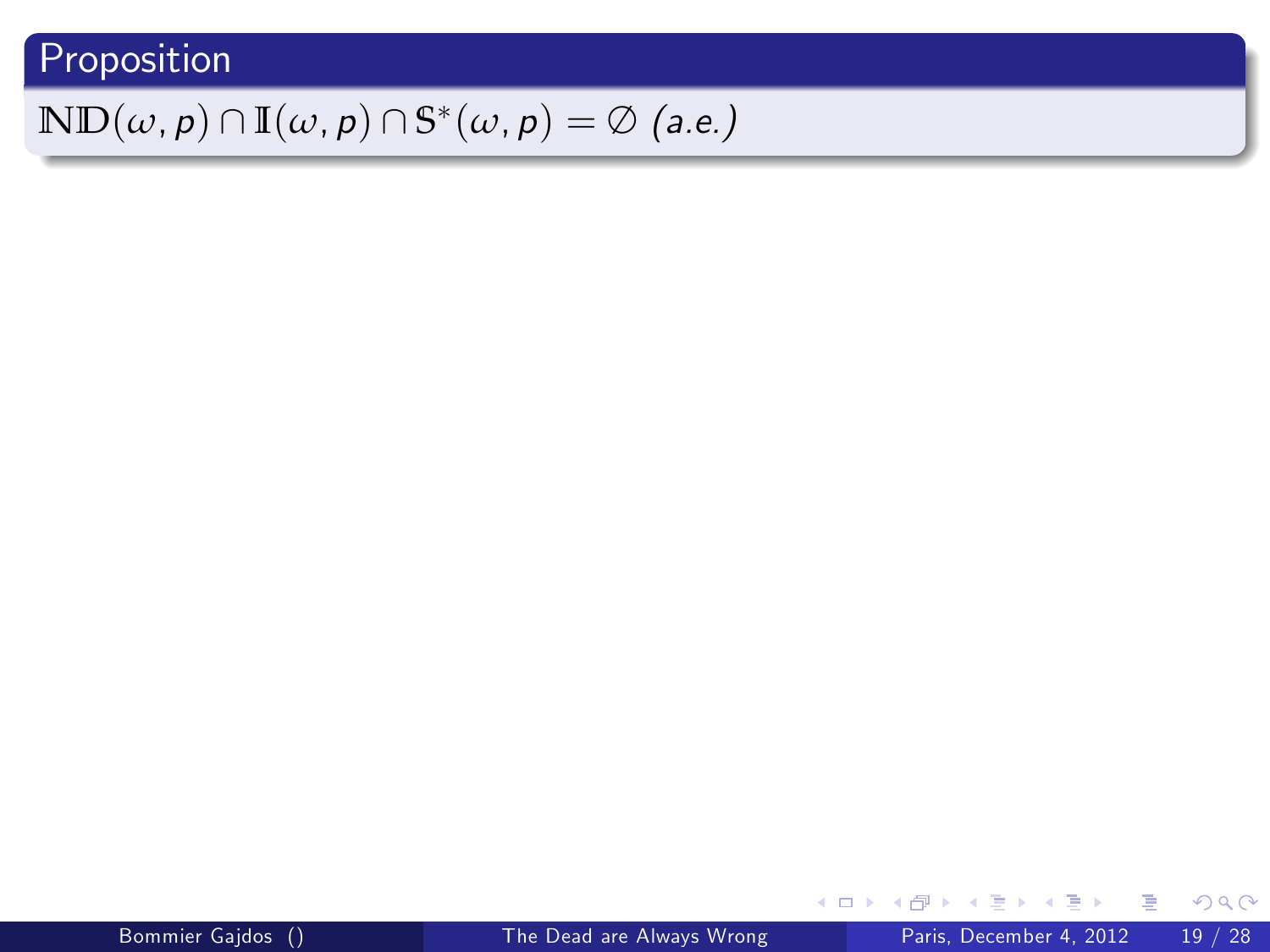Proposition

# $\mathbb{N}\mathbb{D}(\omega,\rho) \cap \mathbb{I}(\omega,\rho) \cap \mathbb{S}^*(\omega,\rho) = \varnothing$  (a.e.)

イロト イ押ト イヨト イヨト

重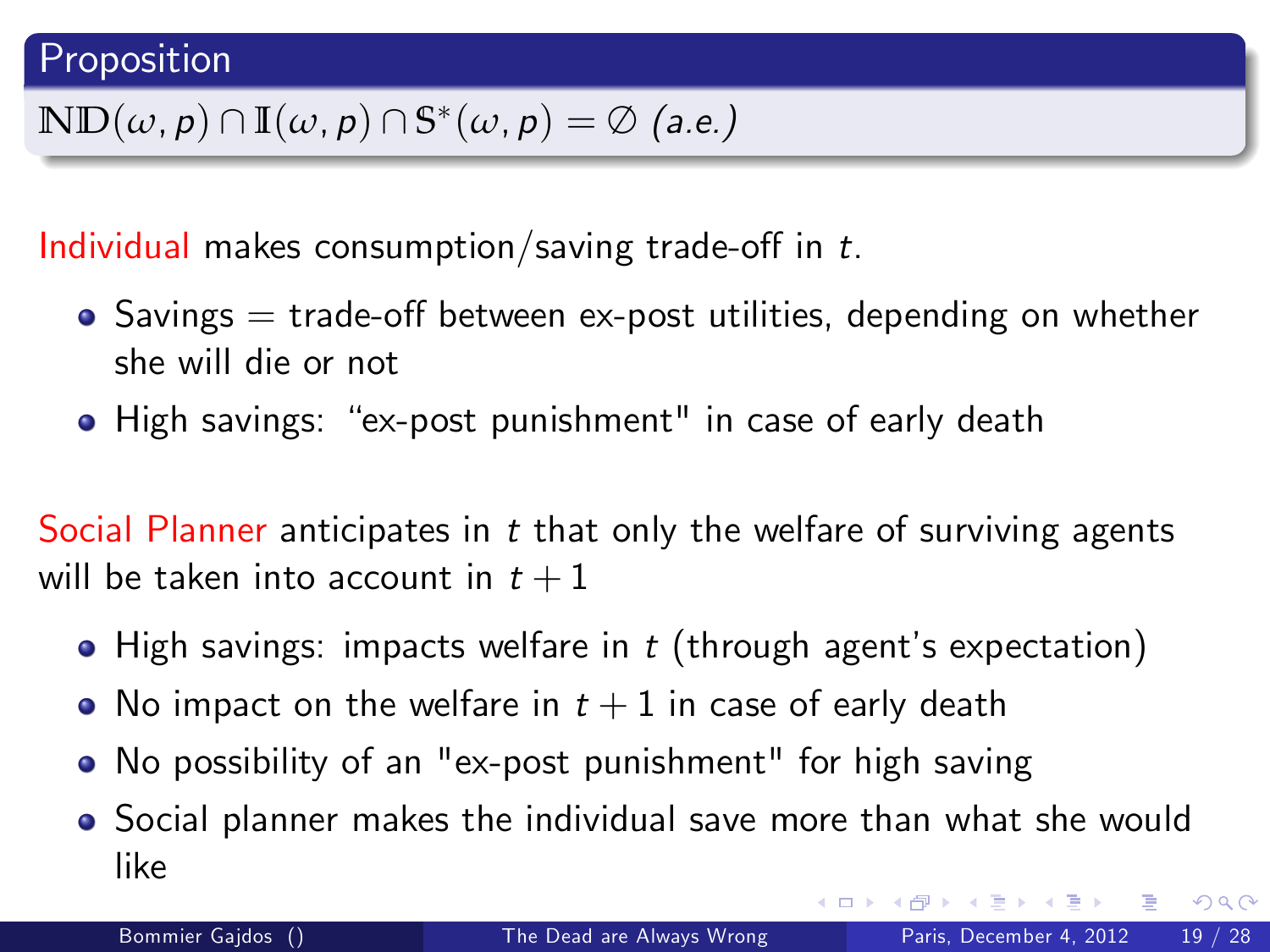# $\mathbb{N}\mathbb{D}(\omega,\rho) \cap \mathbb{I}(\omega,\rho) \cap \mathbb{S}^*(\omega,\rho) = \varnothing$  (a.e.)

Individual makes consumption/saving trade-off in  $t$ .

- $\bullet$  Savings  $=$  trade-off between ex-post utilities, depending on whether she will die or not
- High savings: "ex-post punishment" in case of early death

Social Planner anticipates in  $t$  that only the welfare of surviving agents will be taken into account in  $t+1$ 

- $\bullet$  High savings: impacts welfare in t (through agent's expectation)
- No impact on the welfare in  $t+1$  in case of early death
- No possibility of an "ex-post punishment" for high saving
- Social planner makes the individual save more than what she would like

イロト イ押 トイヨ トイヨ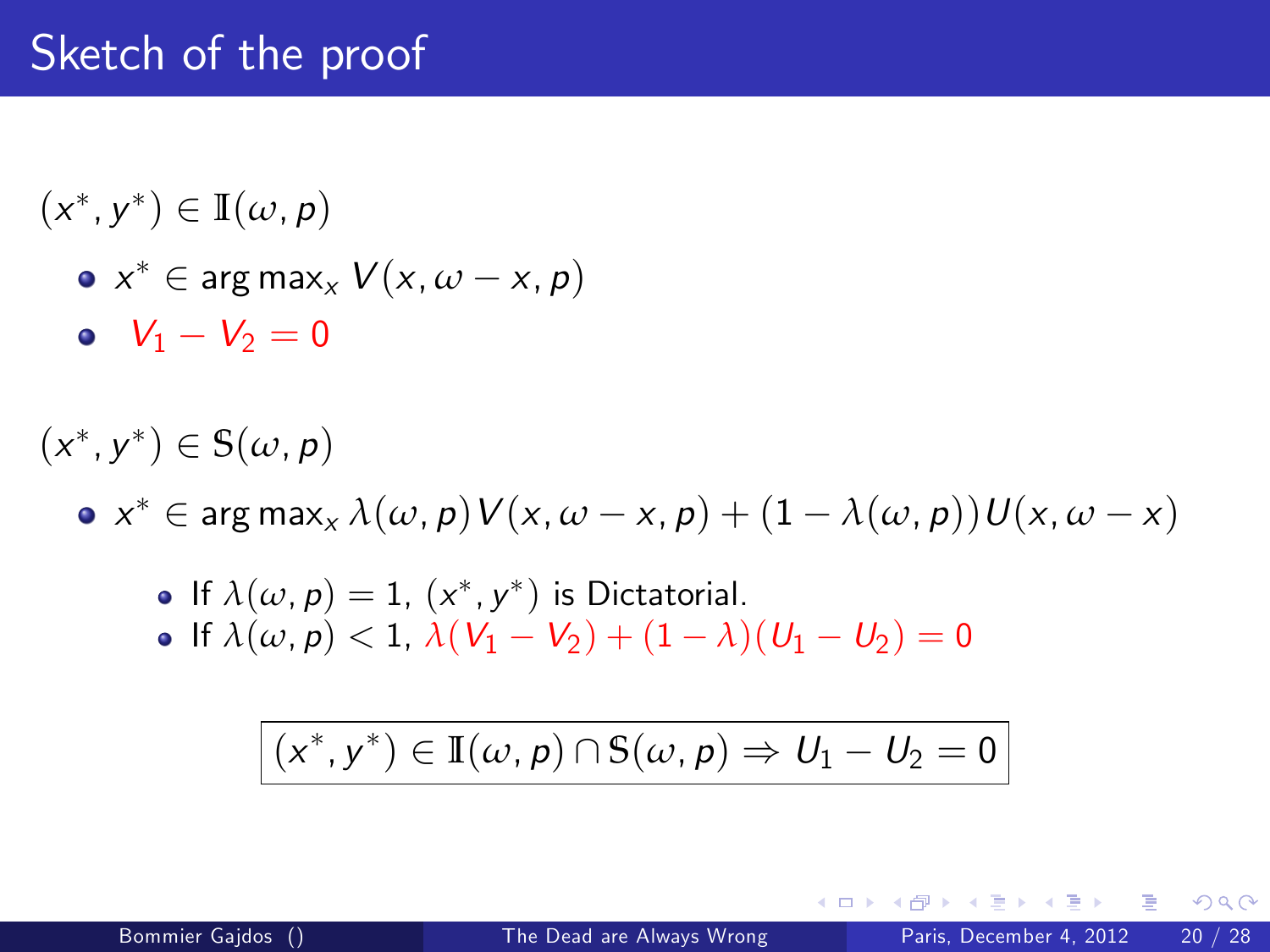## Sketch of the proof

 $(x^*, y^*) \in \mathbb{I}(\omega, \rho)$  $x^* \in \argmax_x V(x, \omega - x, p)$ •  $V_1 - V_2 = 0$ 

$$
(x^*, y^*) \in S(\omega, p)
$$
\n•  $x^* \in \arg \max_x \lambda(\omega, p) V(x, \omega - x, p) + (1 - \lambda(\omega, p)) U(x, \omega - x)$ \n• If  $\lambda(\omega, p) = 1$ ,  $(x^*, y^*)$  is Dictatorial.\n• If  $\lambda(\omega, p) < 1$ ,  $\lambda(V_1 - V_2) + (1 - \lambda)(U_1 - U_2) = 0$ 

$$
(x^*,y^*) \in \mathbb{I}(\omega,p) \cap S(\omega,p) \Rightarrow U_1 - U_2 = 0
$$

÷

4 D.K. ×.  $299$ 

B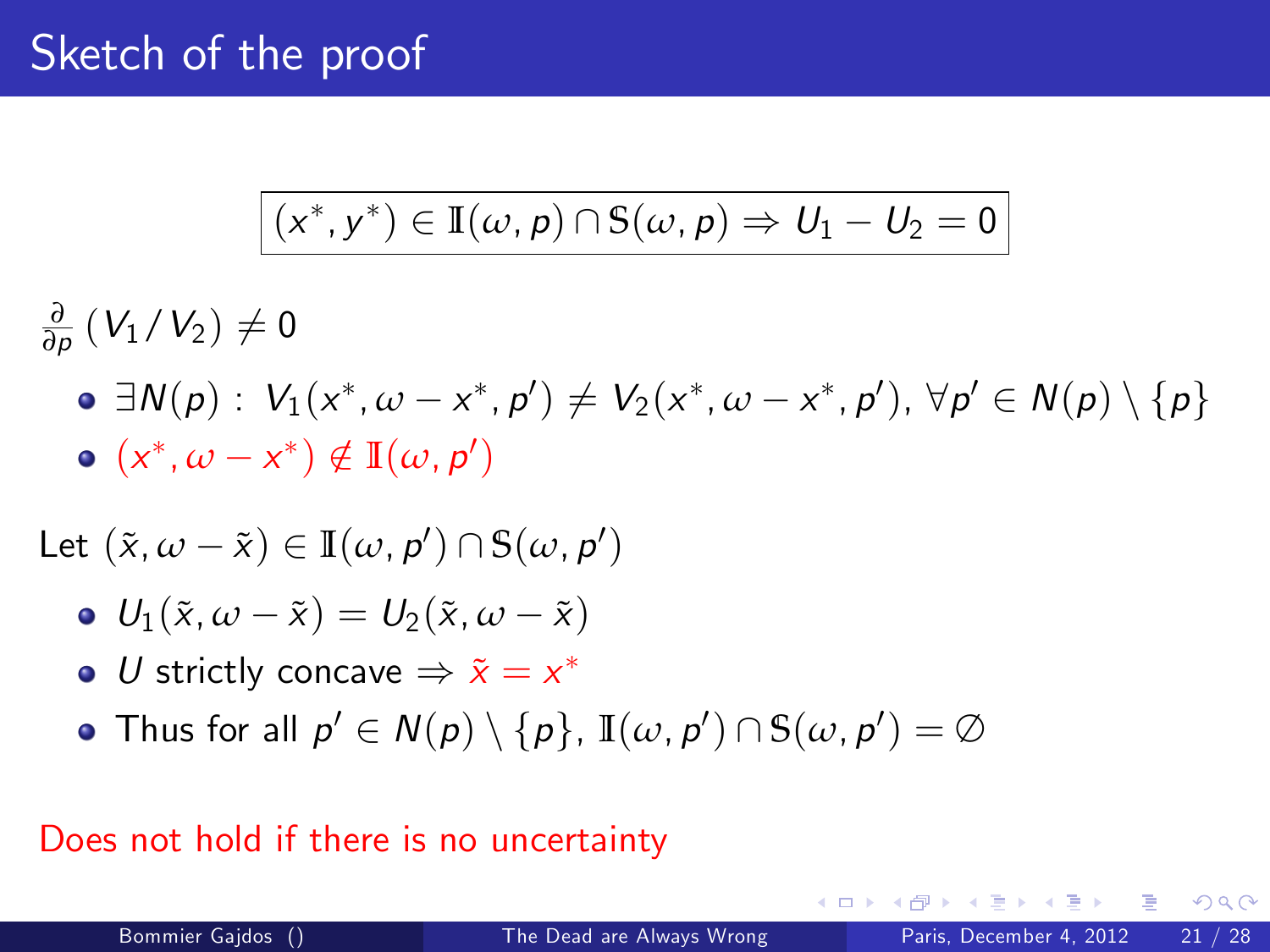$$
(x^*,y^*) \in \mathbb{I}(\omega,p) \cap \mathbb{S}(\omega,p) \Rightarrow U_1 - U_2 = 0
$$

 $\frac{\partial}{\partial p}$  (V<sub>1</sub>/V<sub>2</sub>) ≠ 0

 $\exists N(p) : V_1(x^*, \omega - x^*, p') \neq V_2(x^*, \omega - x^*, p')$ ,  $\forall p' \in N(p) \setminus \{p\}$  $(x^*, \omega - x^*) \notin \mathbb{I}(\omega, p')$ 

Let  $(\tilde{x}, \omega - \tilde{x}) \in \mathbb{I}(\omega, p') \cap \mathbb{S}(\omega, p')$ 

- $\bullet$   $U_1(\tilde{x}, \omega \tilde{x}) = U_2(\tilde{x}, \omega \tilde{x})$
- U strictly concave  $\Rightarrow \tilde{x} = x^*$
- Thus for all  $p' \in N(p) \setminus \{p\}$ ,  $\mathbb{I}(\omega, p') \cap S(\omega, p') = \emptyset$

#### Does not hold if there is no uncertainty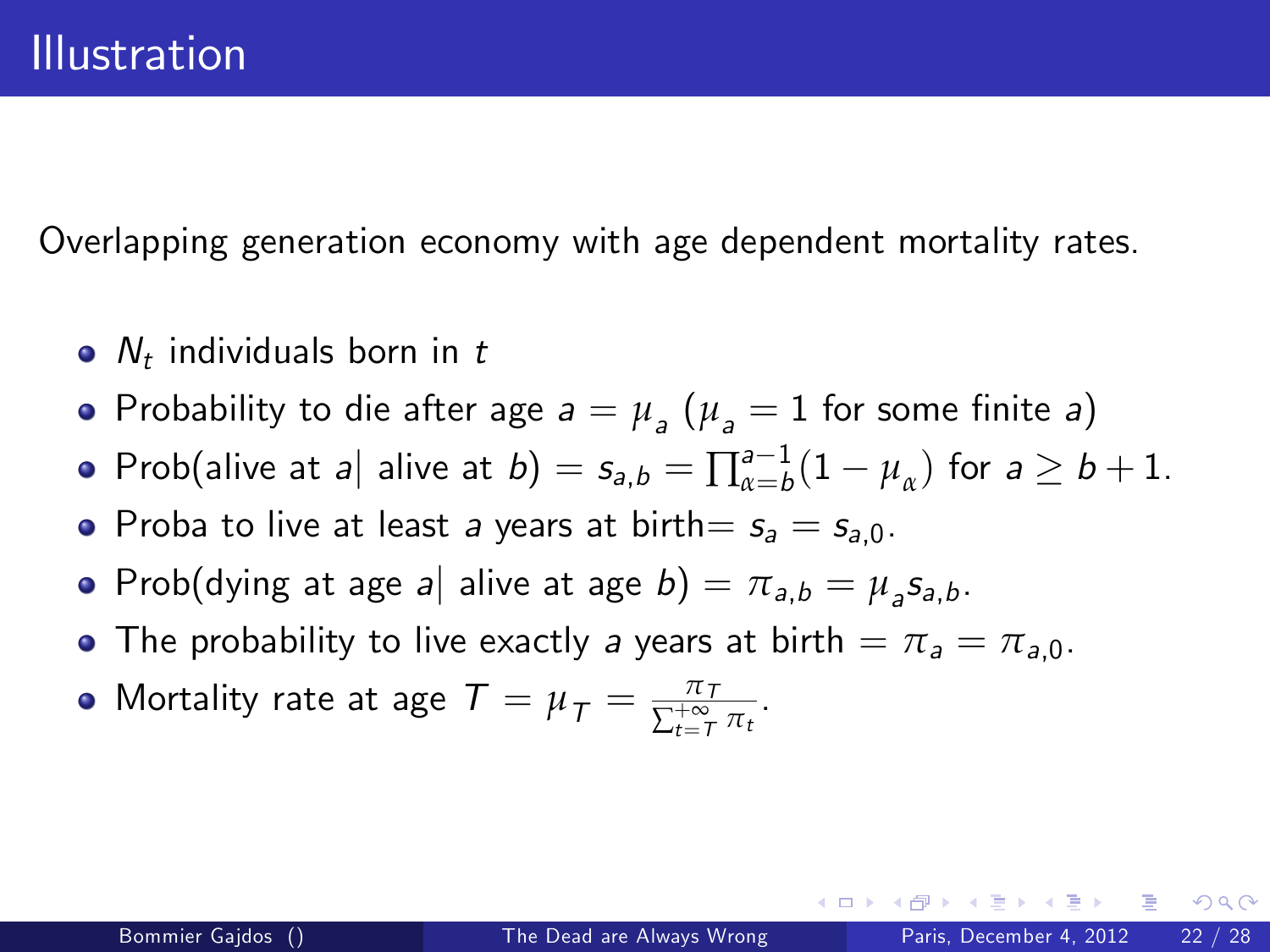Overlapping generation economy with age dependent mortality rates.

- $N_t$  individuals born in  $t$
- Probability to die after age  $a = \mu_{_A}$   $(\mu_{_A} = 1$  for some finite  $a)$
- Prob(alive at *a*| alive at *b*) =  $s_{a,b} = \prod_{\alpha=b}^{a-1}(1-\mu_{\alpha})$  for  $a \ge b+1$ .
- Proba to live at least a years at birth=  $s_a = s_{a,0}$ .
- Prob(dying at age *a*| alive at age  $b$ ) =  $\pi_{a,b} = \mu_a s_{a,b}$ .
- **•** The probability to live exactly a years at birth  $=\pi_a = \pi_{a,0}$ .

• Mortality rate at age 
$$
T = \mu_T = \frac{\pi_T}{\sum_{t=T}^{+\infty} \pi_t}
$$
.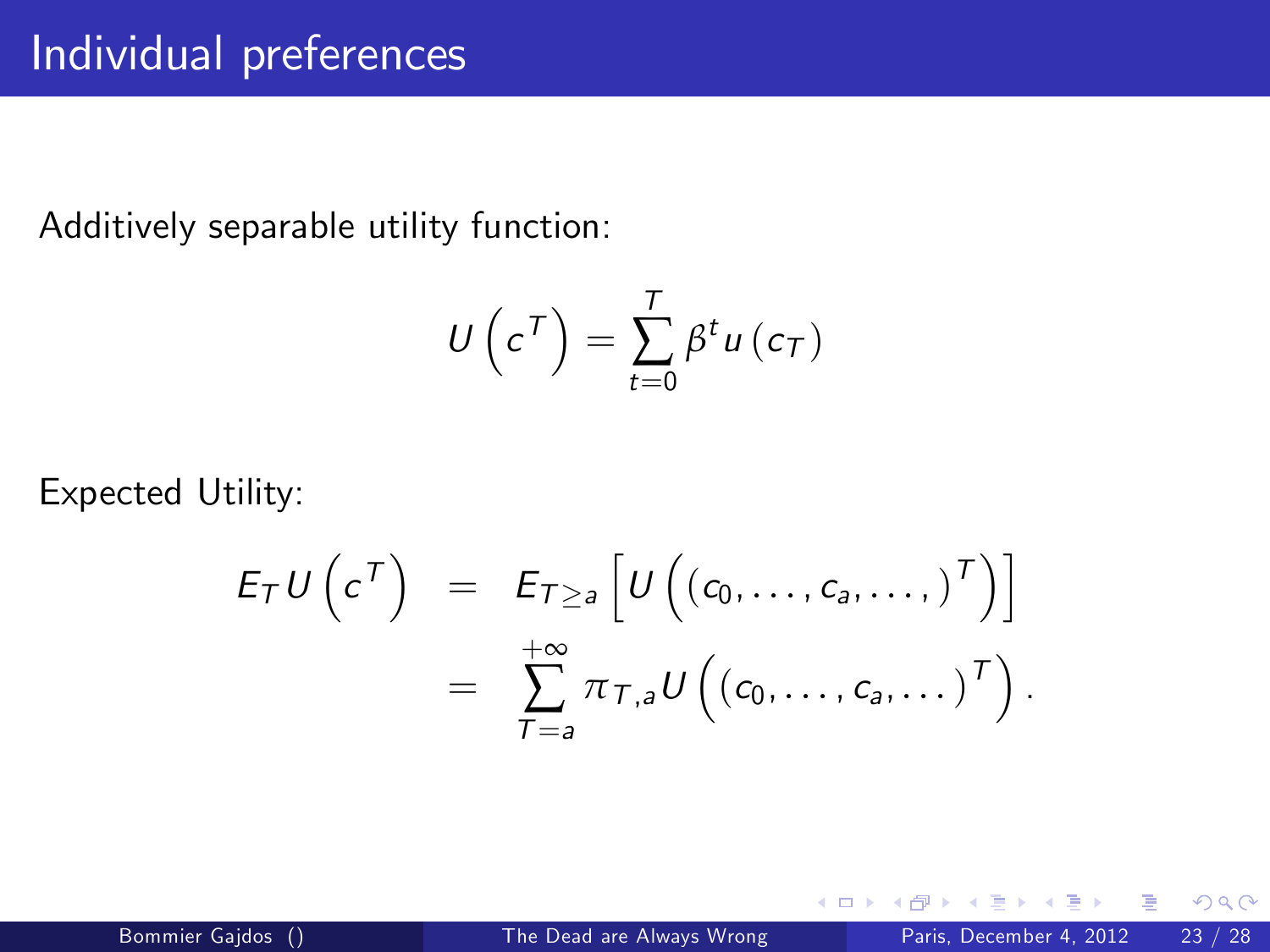## Individual preferences

Additively separable utility function:

$$
U\left(c^{T}\right)=\sum_{t=0}^{T}\beta^{t}u\left(c_{T}\right)
$$

Expected Utility:

$$
E_{T} U\left(c^{T}\right) = E_{T \geq a} \left[U\left((c_{0}, \ldots, c_{a}, \ldots, )^{T}\right)\right]
$$
  
= 
$$
\sum_{T=a}^{+\infty} \pi_{T,a} U\left((c_{0}, \ldots, c_{a}, \ldots)^{T}\right).
$$

÷

4 0 8 1

×

 $299$ 

B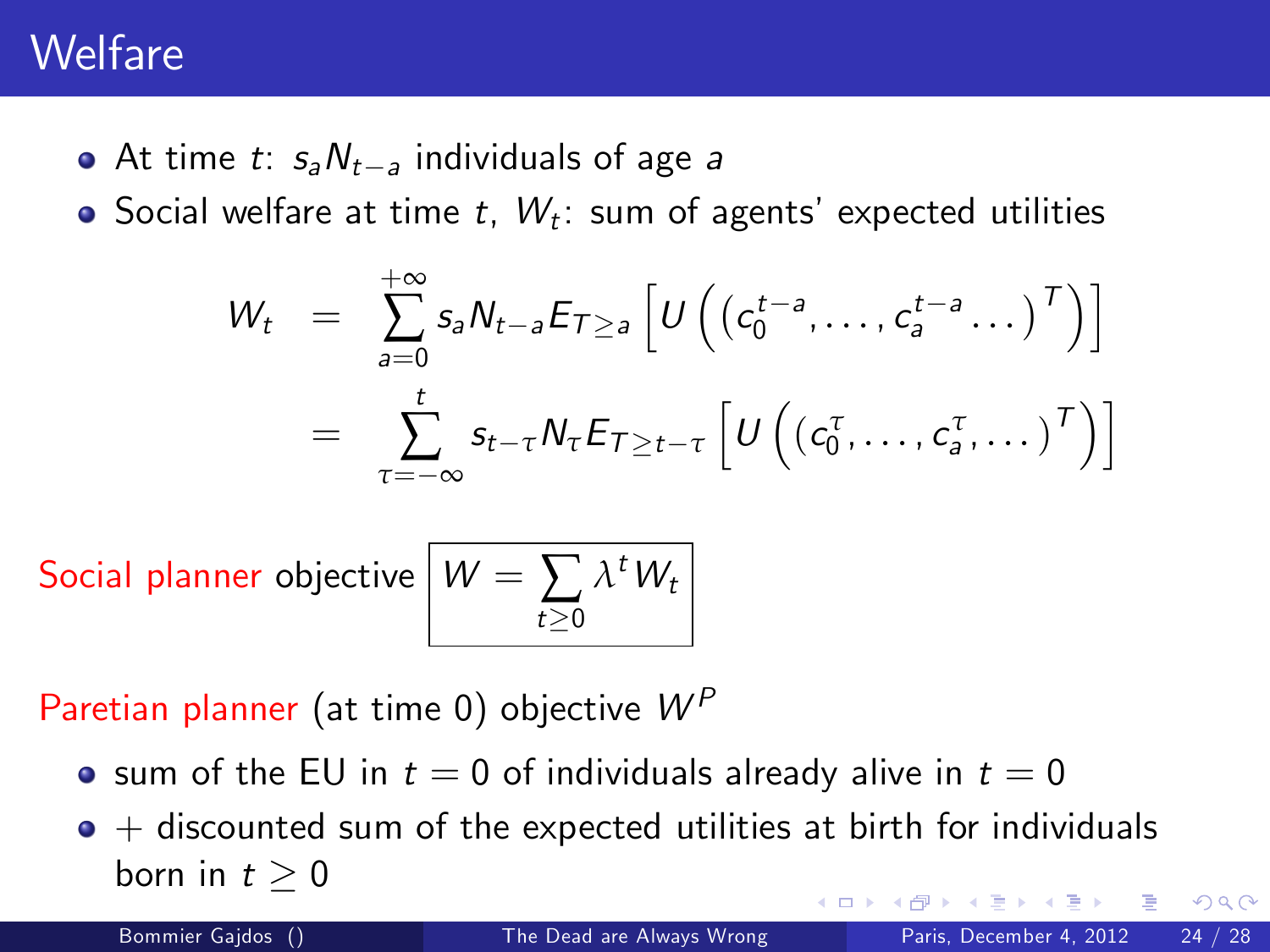### **Welfare**

• At time t:  $s_a N_{t-a}$  individuals of age a

Social welfare at time  $t$ ,  $W_t$ : sum of agents' expected utilities

$$
W_t = \sum_{a=0}^{+\infty} s_a N_{t-a} E_{T\geq a} \left[ U\left( \left( c_0^{t-a}, \ldots, c_a^{t-a} \ldots \right)^T \right) \right]
$$
  
= 
$$
\sum_{\tau=-\infty}^{t} s_{t-\tau} N_{\tau} E_{T\geq t-\tau} \left[ U\left( \left( c_0^{\tau}, \ldots, c_a^{\tau}, \ldots \right)^T \right) \right]
$$

$$
Social planner objective\bigg[W = \sum_{t\geq 0} \lambda^t W_t\bigg]
$$

Paretian planner (at time 0) objective  $W^P$ 

- $\bullet$  sum of the EU in  $t = 0$  of individuals already alive in  $t = 0$
- $\bullet$  + discounted sum of the expected utilities at birth for individuals born in  $t > 0$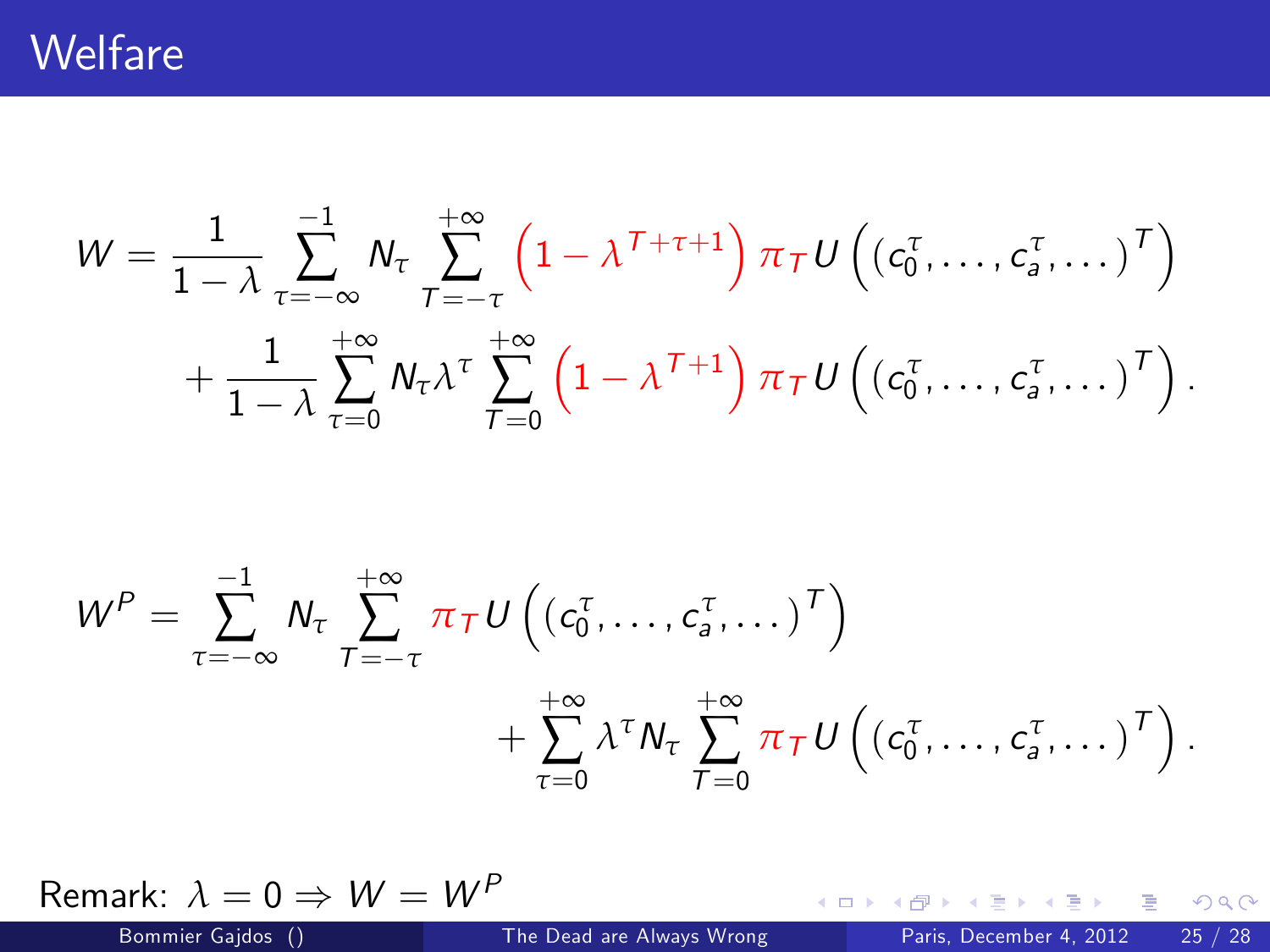$$
W = \frac{1}{1 - \lambda} \sum_{\tau = -\infty}^{-1} N_{\tau} \sum_{T = -\tau}^{+\infty} \left(1 - \lambda^{T + \tau + 1}\right) \pi_{T} U\left((c_{0}^{\tau}, \ldots, c_{a}^{\tau}, \ldots)^{T}\right) + \frac{1}{1 - \lambda} \sum_{\tau = 0}^{+\infty} N_{\tau} \lambda^{\tau} \sum_{T = 0}^{+\infty} \left(1 - \lambda^{T + 1}\right) \pi_{T} U\left((c_{0}^{\tau}, \ldots, c_{a}^{\tau}, \ldots)^{T}\right).
$$

$$
W^{P} = \sum_{\tau=-\infty}^{-1} N_{\tau} \sum_{T=-\tau}^{+\infty} \pi_{T} U\left((c_{0}^{\tau}, \ldots, c_{a}^{\tau}, \ldots)^{T}\right) + \sum_{\tau=0}^{+\infty} \lambda^{\tau} N_{\tau} \sum_{T=0}^{+\infty} \pi_{T} U\left((c_{0}^{\tau}, \ldots, c_{a}^{\tau}, \ldots)^{T}\right).
$$

$$
Remark: \ \lambda = 0 \Rightarrow W = W^P
$$

Ε.  $2990$ 

メロト メ都 トメ ヨ トメ ヨト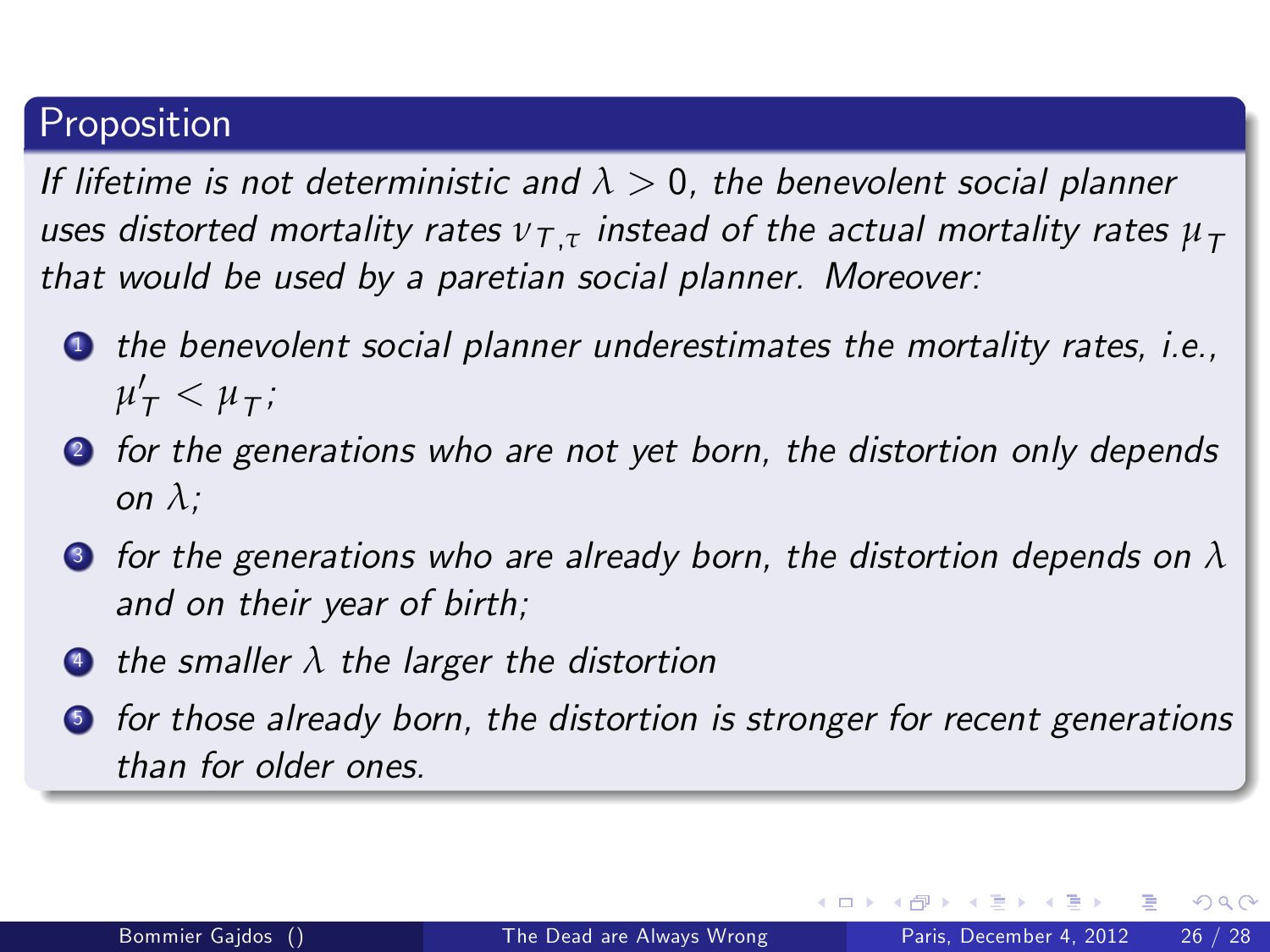#### Proposition

If lifetime is not deterministic and  $\lambda > 0$ , the benevolent social planner uses distorted mortality rates  $v_{T,\tau}$  instead of the actual mortality rates  $\mu_{T}$ that would be used by a paretian social planner. Moreover:

- $\bullet$  the benevolent social planner underestimates the mortality rates, i.e.,  $\mu'_{\mathcal{T}} < \mu_{\mathcal{T}}$ ;
- **2** for the generations who are not yet born, the distortion only depends on *λ*;
- $\bullet$  for the generations who are already born, the distortion depends on  $\lambda$ and on their year of birth;
- the smaller  $\lambda$  the larger the distortion
- for those already born, the distortion is stronger for recent generations than for older ones.

4 D F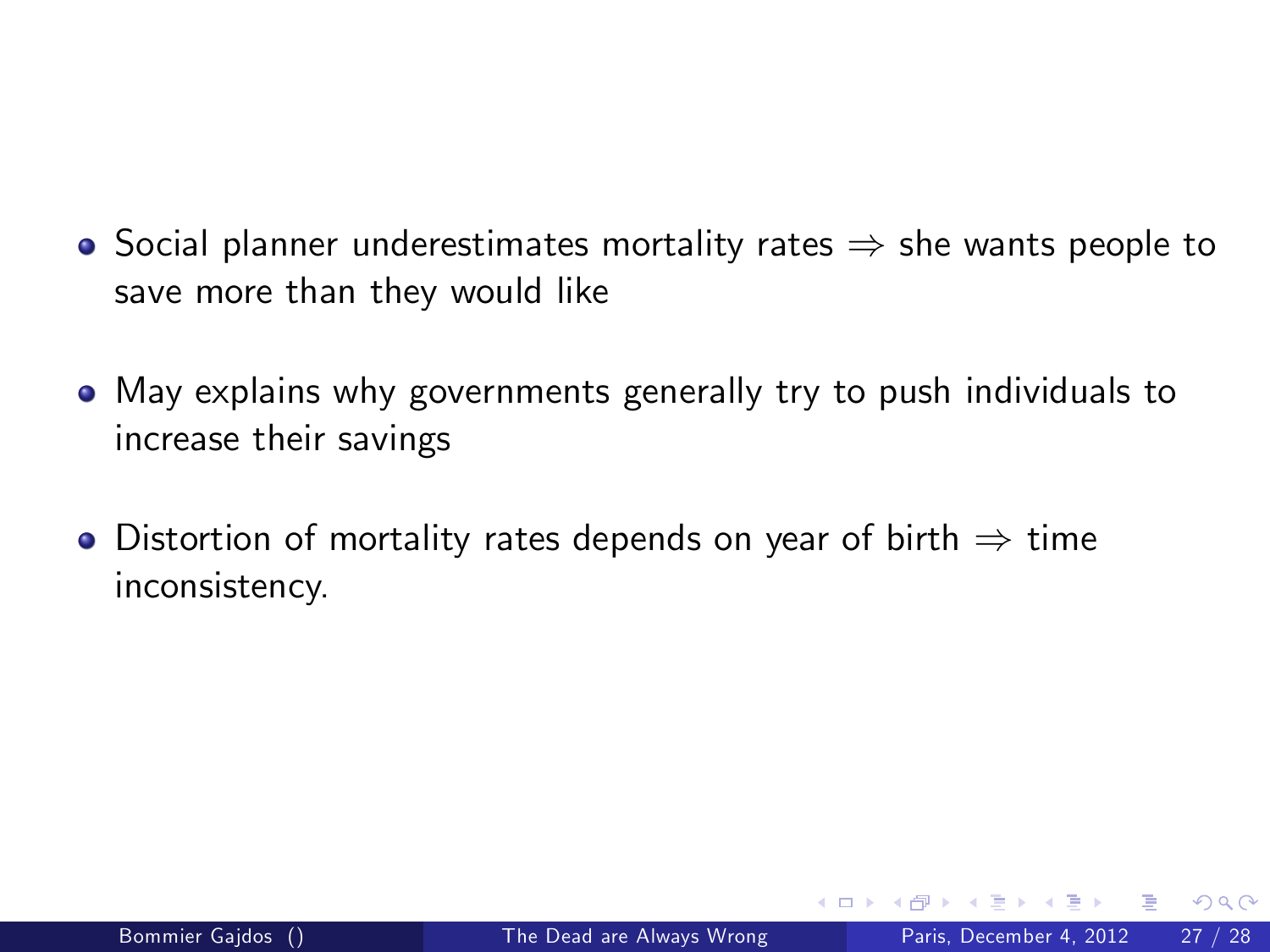- Social planner underestimates mortality rates  $\Rightarrow$  she wants people to save more than they would like
- May explains why governments generally try to push individuals to increase their savings
- Distortion of mortality rates depends on year of birth  $\Rightarrow$  time inconsistency.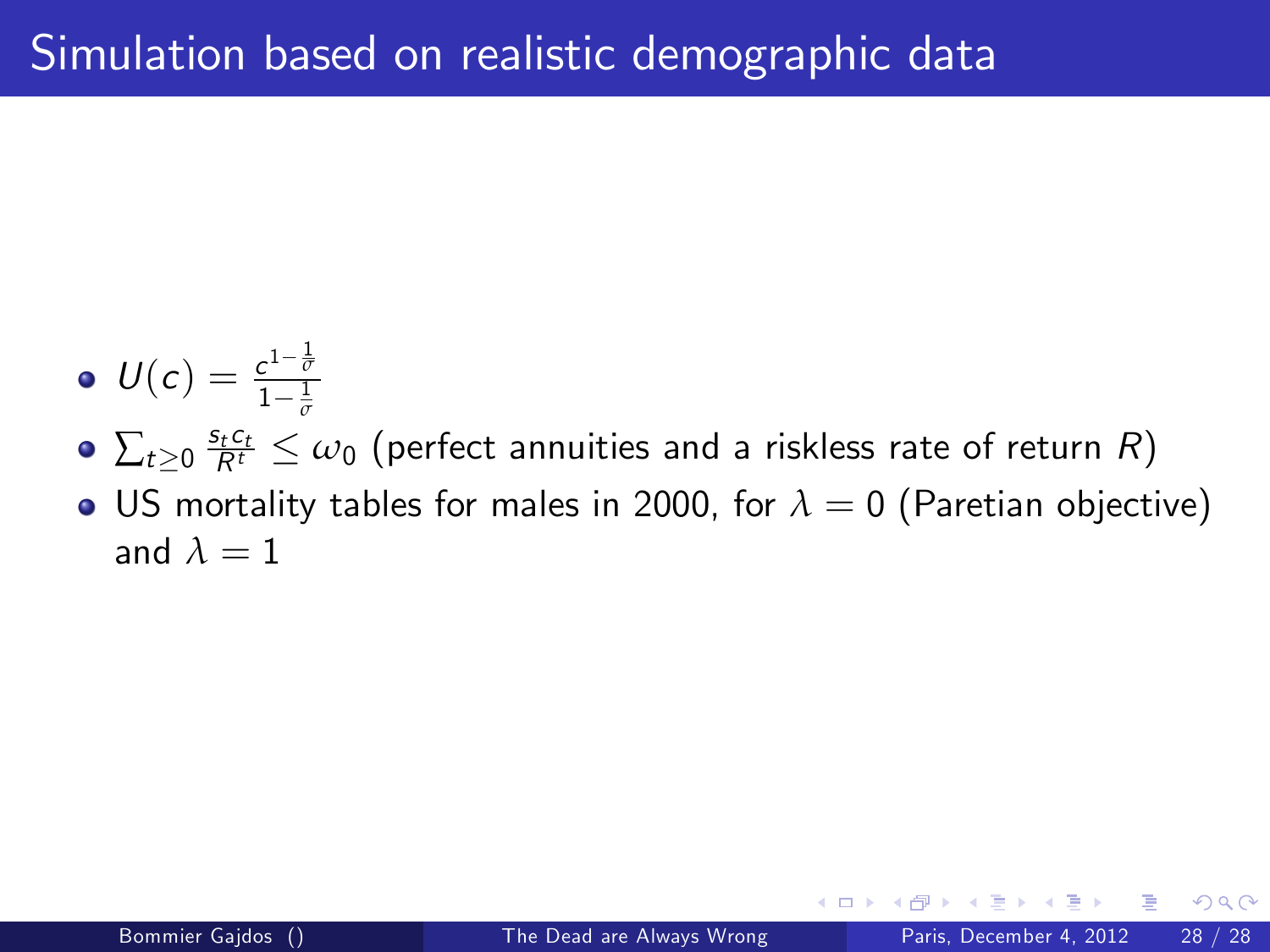- $U(c) = \frac{c^{1-\frac{1}{\sigma}}}{1-\frac{1}{\sigma}}$
- $\sum_{t\geq 0} \frac{s_t c_t}{R^t} \leq \omega_0$  (perfect annuities and a riskless rate of return  $R)$
- <span id="page-38-0"></span>• US mortality tables for males in 2000, for  $\lambda = 0$  (Paretian objective) and  $\lambda = 1$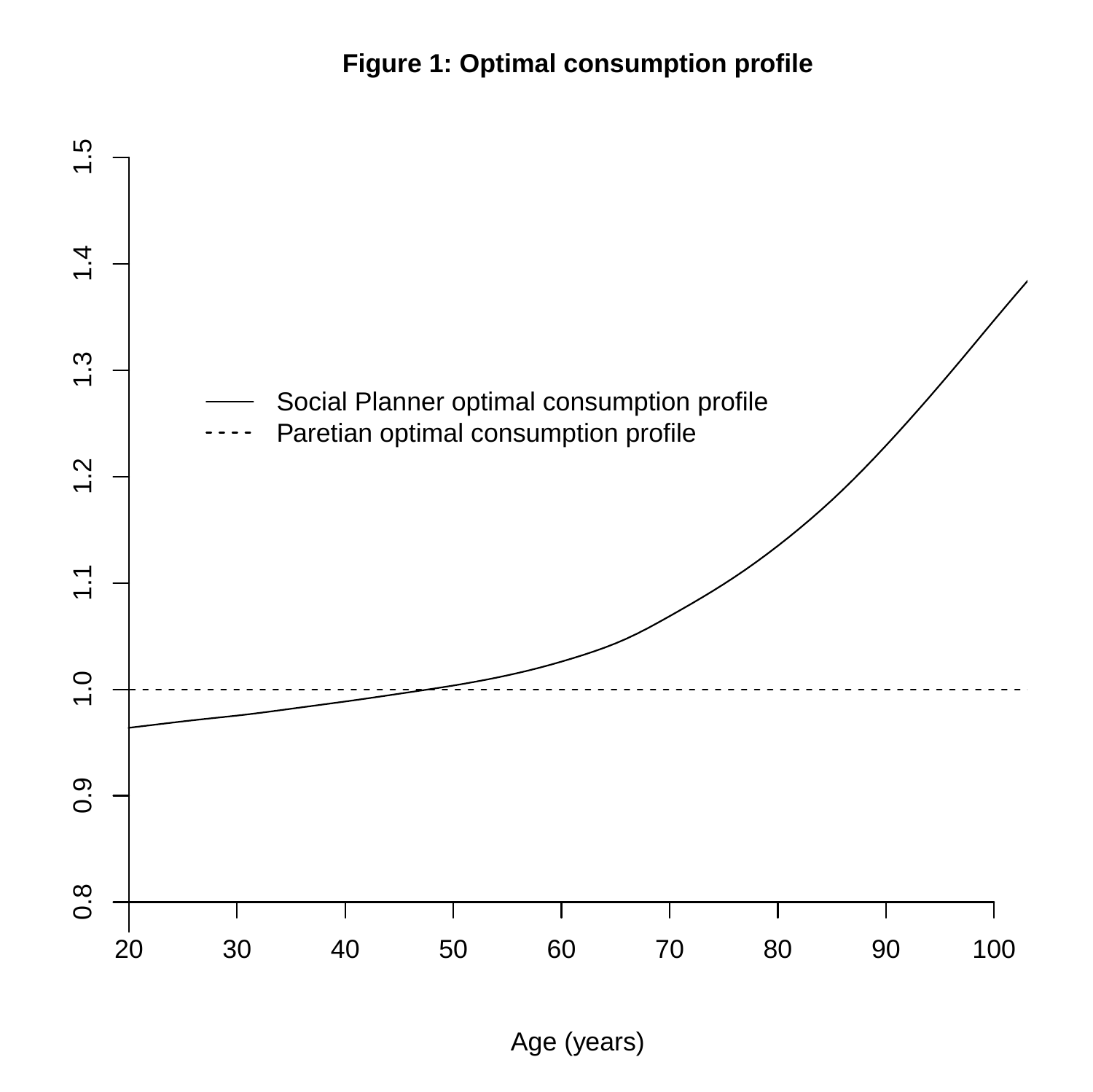**Figure 1: Optimal consumption profile**



Age (years)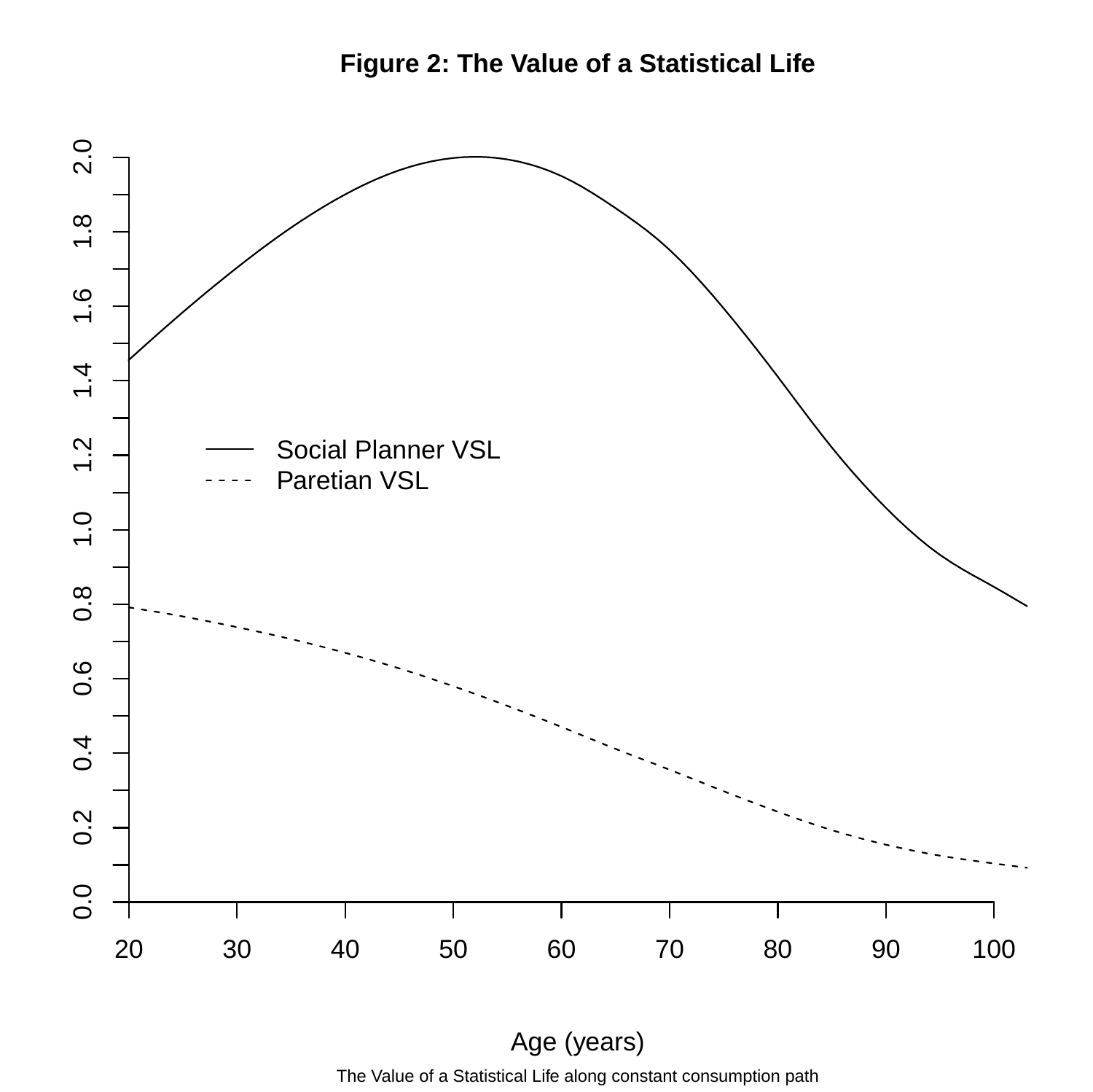**Figure 2: The Value of a Statistical Life**